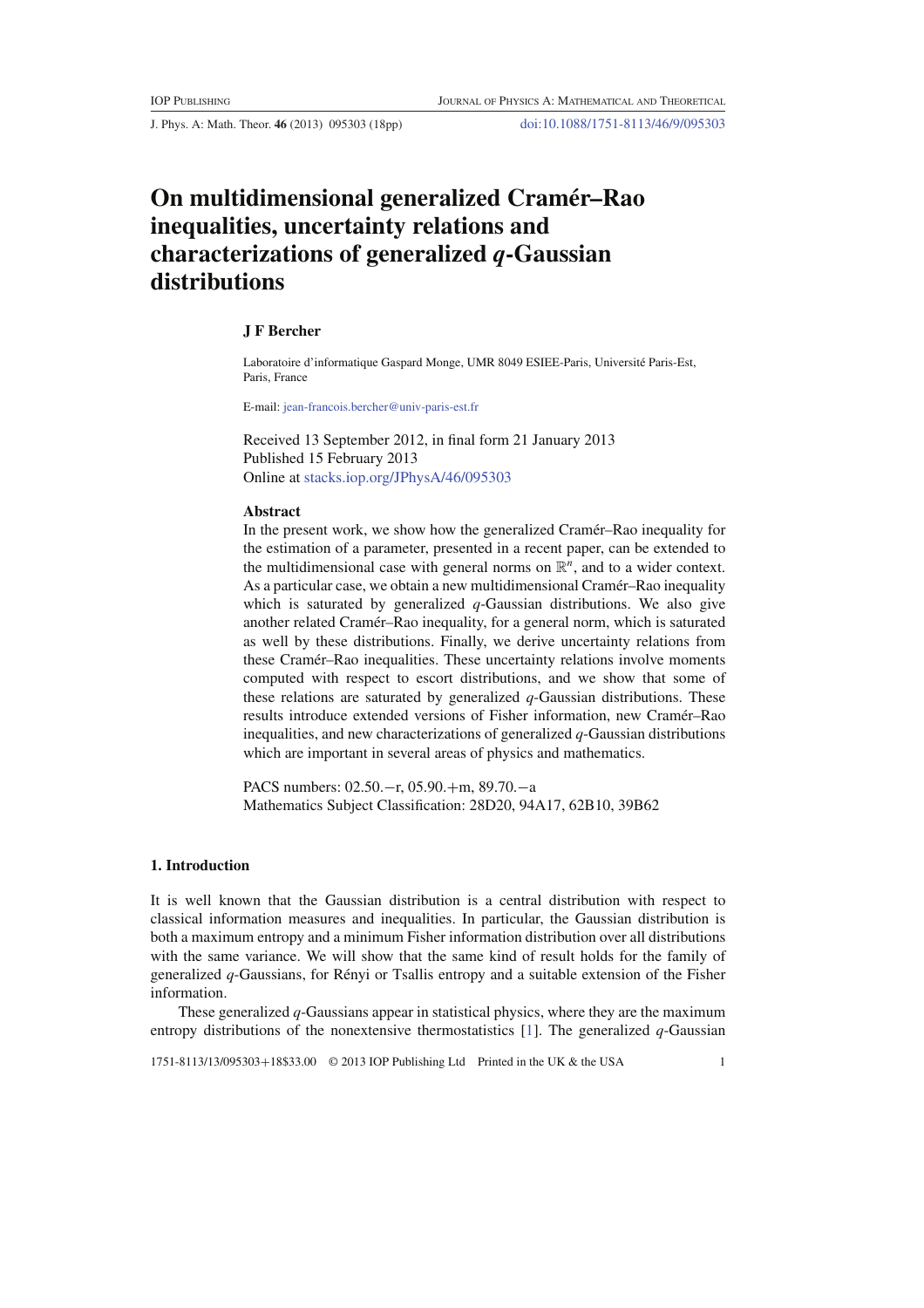J. Phys. A: Math. Theor. **46** (2013) 095303 (18pp) doi:10.1088/1751-8113/46/9/095303

# **On multidimensional generalized Cramer–Rao ´ inequalities, uncertainty relations and characterizations of generalized** *q***-Gaussian distributions**

## **J F Bercher**

Laboratoire d'informatique Gaspard Monge, UMR 8049 ESIEE-Paris, Universite Paris-Est, ´ Paris, France

E-mail: jean-francois.bercher@univ-paris-est.fr

Received 13 September 2012, in final form 21 January 2013 Published 15 February 2013 Online at stacks.iop.org/JPhysA/46/095303

#### **Abstract**

In the present work, we show how the generalized Cramér–Rao inequality for the estimation of a parameter, presented in a recent paper, can be extended to the multidimensional case with general norms on  $\mathbb{R}^n$ , and to a wider context. As a particular case, we obtain a new multidimensional Cramér–Rao inequality which is saturated by generalized *q*-Gaussian distributions. We also give another related Cramér–Rao inequality, for a general norm, which is saturated as well by these distributions. Finally, we derive uncertainty relations from these Cramér–Rao inequalities. These uncertainty relations involve moments computed with respect to escort distributions, and we show that some of these relations are saturated by generalized *q*-Gaussian distributions. These results introduce extended versions of Fisher information, new Cramer–Rao ´ inequalities, and new characterizations of generalized *q*-Gaussian distributions which are important in several areas of physics and mathematics.

PACS numbers: 02.50.−r, 05.90.+m, 89.70.−a Mathematics Subject Classification: 28D20, 94A17, 62B10, 39B62

# **1. Introduction**

It is well known that the Gaussian distribution is a central distribution with respect to classical information measures and inequalities. In particular, the Gaussian distribution is both a maximum entropy and a minimum Fisher information distribution over all distributions with the same variance. We will show that the same kind of result holds for the family of generalized  $q$ -Gaussians, for Rényi or Tsallis entropy and a suitable extension of the Fisher information.

These generalized *q*-Gaussians appear in statistical physics, where they are the maximum entropy distributions of the nonextensive thermostatistics [1]. The generalized *q*-Gaussian

1751-8113/13/095303+18\$33.00 © 2013 IOP Publishing Ltd Printed in the UK & the USA 1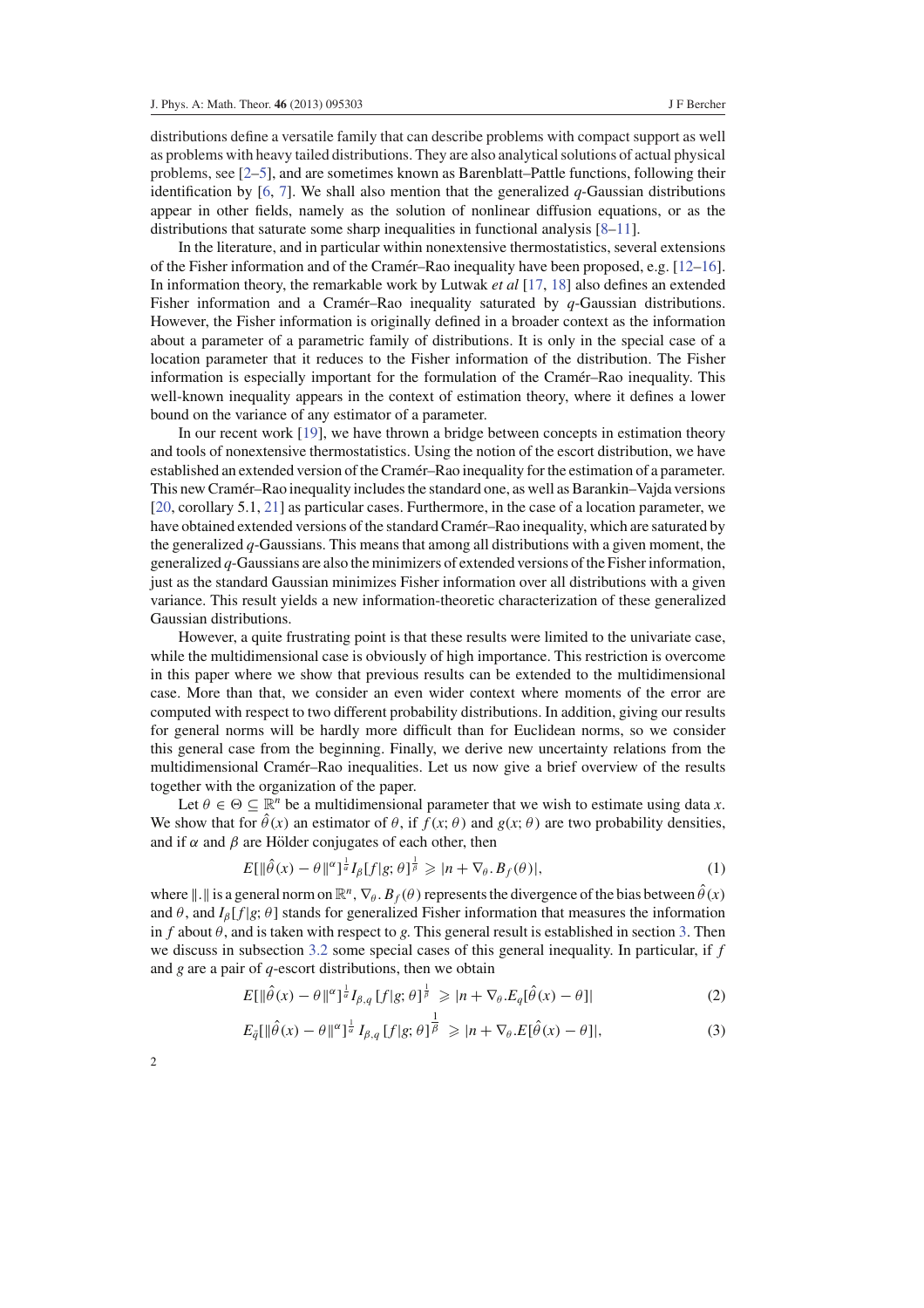distributions define a versatile family that can describe problems with compact support as well as problems with heavy tailed distributions. They are also analytical solutions of actual physical problems, see [2–5], and are sometimes known as Barenblatt–Pattle functions, following their identification by [6, 7]. We shall also mention that the generalized  $q$ -Gaussian distributions appear in other fields, namely as the solution of nonlinear diffusion equations, or as the distributions that saturate some sharp inequalities in functional analysis [8–11].

In the literature, and in particular within nonextensive thermostatistics, several extensions of the Fisher information and of the Cramér–Rao inequality have been proposed, e.g.  $[12-16]$ . In information theory, the remarkable work by Lutwak *et al* [17, 18] also defines an extended Fisher information and a Cramer–Rao inequality saturated by  $q$ -Gaussian distributions. However, the Fisher information is originally defined in a broader context as the information about a parameter of a parametric family of distributions. It is only in the special case of a location parameter that it reduces to the Fisher information of the distribution. The Fisher information is especially important for the formulation of the Cramer–Rao inequality. This ´ well-known inequality appears in the context of estimation theory, where it defines a lower bound on the variance of any estimator of a parameter.

In our recent work [19], we have thrown a bridge between concepts in estimation theory and tools of nonextensive thermostatistics. Using the notion of the escort distribution, we have established an extended version of the Cramer–Rao inequality for the estimation of a parameter. ´ This new Cramér–Rao inequality includes the standard one, as well as Barankin–Vajda versions [20, corollary 5.1, 21] as particular cases. Furthermore, in the case of a location parameter, we have obtained extended versions of the standard Cramer–Rao inequality, which are saturated by the generalized *q*-Gaussians. This means that among all distributions with a given moment, the generalized *q*-Gaussians are also the minimizers of extended versions of the Fisher information, just as the standard Gaussian minimizes Fisher information over all distributions with a given variance. This result yields a new information-theoretic characterization of these generalized Gaussian distributions.

However, a quite frustrating point is that these results were limited to the univariate case, while the multidimensional case is obviously of high importance. This restriction is overcome in this paper where we show that previous results can be extended to the multidimensional case. More than that, we consider an even wider context where moments of the error are computed with respect to two different probability distributions. In addition, giving our results for general norms will be hardly more difficult than for Euclidean norms, so we consider this general case from the beginning. Finally, we derive new uncertainty relations from the multidimensional Cramér–Rao inequalities. Let us now give a brief overview of the results together with the organization of the paper.

Let  $\theta \in \Theta \subseteq \mathbb{R}^n$  be a multidimensional parameter that we wish to estimate using data *x*. We show that for  $\hat{\theta}(x)$  an estimator of  $\theta$ , if  $f(x; \theta)$  and  $g(x; \theta)$  are two probability densities, and if  $\alpha$  and  $\beta$  are Hölder conjugates of each other, then

$$
E[\|\hat{\theta}(x) - \theta\|^{\alpha}]^{\frac{1}{\alpha}} I_{\beta}[f|g; \theta]^{\frac{1}{\beta}} \geqslant |n + \nabla_{\theta}.B_f(\theta)|,
$$
\n<sup>(1)</sup>

where  $\|\cdot\|$  is a general norm on  $\mathbb{R}^n$ ,  $\nabla_\theta$ .  $B_f(\theta)$  represents the divergence of the bias between  $\hat{\theta}(x)$ and  $\theta$ , and  $I_\beta[f|g; \theta]$  stands for generalized Fisher information that measures the information in *f* about  $\theta$ , and is taken with respect to *g*. This general result is established in section 3. Then we discuss in subsection 3.2 some special cases of this general inequality. In particular, if *f* and *g* are a pair of *q*-escort distributions, then we obtain

$$
E[\|\hat{\theta}(x) - \theta\|^{\alpha}]^{\frac{1}{\alpha}} I_{\beta,q} [f|g; \theta]^{\frac{1}{\beta}} \geqslant |n + \nabla_{\theta} . E_q[\hat{\theta}(x) - \theta]| \tag{2}
$$

$$
E_{\bar{q}}[\|\hat{\theta}(x) - \theta\|^{\alpha}]^{\frac{1}{\alpha}} I_{\beta,q}[f|g;\theta]^{\frac{1}{\beta}} \geqslant |n + \nabla_{\theta}.E[\hat{\theta}(x) - \theta]|, \tag{3}
$$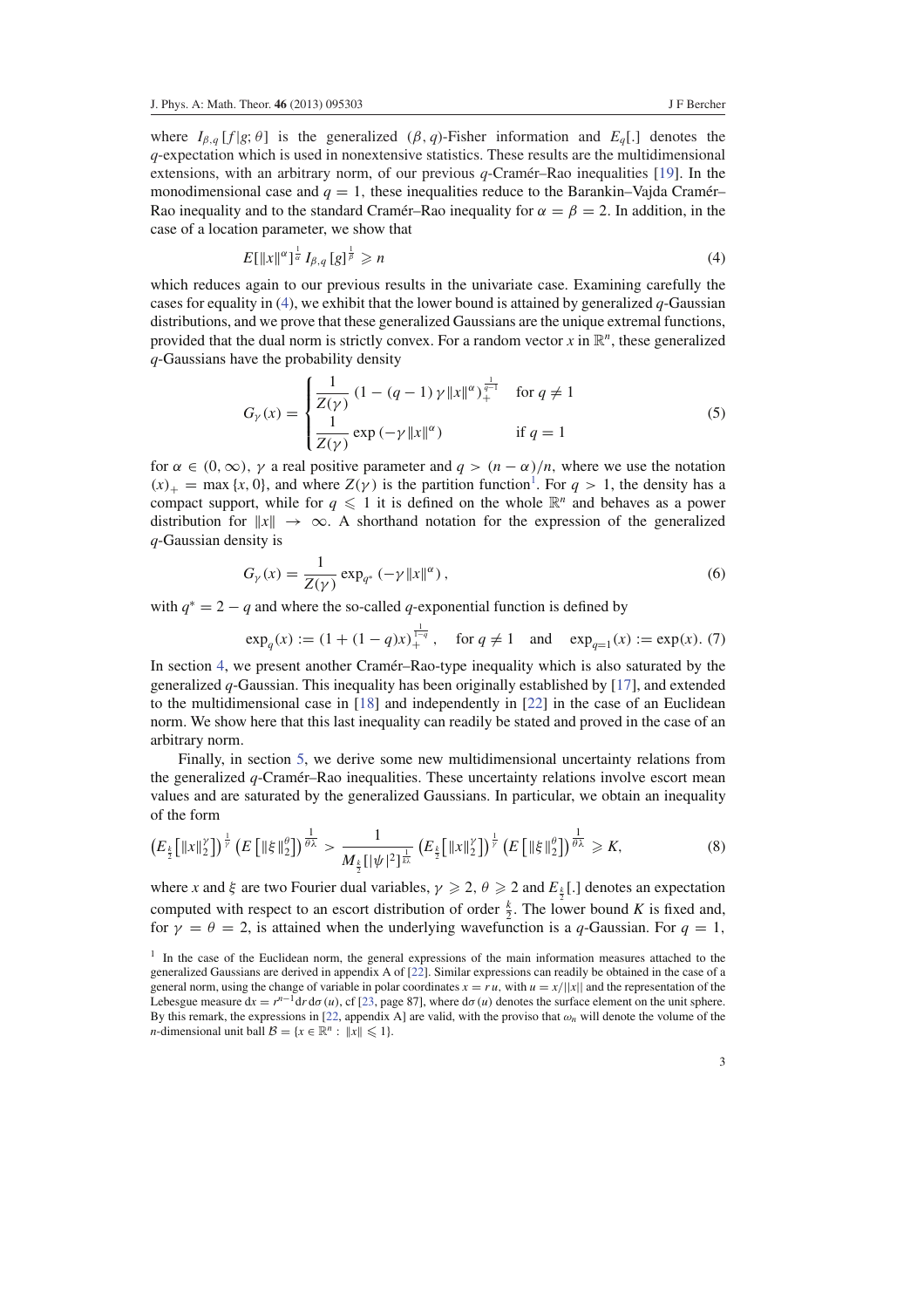where  $I_{\beta,q}$  [*f* |*g*;  $\theta$ ] is the generalized ( $\beta$ , *q*)-Fisher information and  $E_q$ [.] denotes the *q*-expectation which is used in nonextensive statistics. These results are the multidimensional extensions, with an arbitrary norm, of our previous  $q$ -Cramer–Rao inequalities [19]. In the monodimensional case and  $q = 1$ , these inequalities reduce to the Barankin–Vajda Cramér– Rao inequality and to the standard Cramer–Rao inequality for  $\alpha = \beta = 2$ . In addition, in the case of a location parameter, we show that

$$
E[\|x\|^{\alpha}]^{\frac{1}{\alpha}}I_{\beta,q}[g]^{\frac{1}{\beta}} \geqslant n \tag{4}
$$

which reduces again to our previous results in the univariate case. Examining carefully the cases for equality in  $(4)$ , we exhibit that the lower bound is attained by generalized *q*-Gaussian distributions, and we prove that these generalized Gaussians are the unique extremal functions, provided that the dual norm is strictly convex. For a random vector  $x$  in  $\mathbb{R}^n$ , these generalized *q*-Gaussians have the probability density

$$
G_{\gamma}(x) = \begin{cases} \frac{1}{Z(\gamma)} \left(1 - (q - 1) \gamma \|x\|^{\alpha}\right)_{+}^{\frac{1}{q-1}} & \text{for } q \neq 1\\ \frac{1}{Z(\gamma)} \exp\left(-\gamma \|x\|^{\alpha}\right) & \text{if } q = 1 \end{cases}
$$
(5)

for  $\alpha \in (0, \infty)$ ,  $\gamma$  a real positive parameter and  $q > (n - \alpha)/n$ , where we use the notation  $(x)$ <sub>+</sub> = max {*x*, 0}, and where  $Z(\gamma)$  is the partition function<sup>1</sup>. For  $q > 1$ , the density has a compact support, while for  $q \leq 1$  it is defined on the whole  $\mathbb{R}^n$  and behaves as a power distribution for  $||x|| \rightarrow \infty$ . A shorthand notation for the expression of the generalized *q*-Gaussian density is

$$
G_{\gamma}(x) = \frac{1}{Z(\gamma)} \exp_{q^*} (-\gamma \|x\|^{\alpha}),
$$
\n(6)

with  $q^* = 2 - q$  and where the so-called *q*-exponential function is defined by

$$
\exp_q(x) := (1 + (1 - q)x)^{\frac{1}{1-q}} ,
$$
 for  $q \neq 1$  and  $\exp_{q=1}(x) := \exp(x)$ . (7)

In section 4, we present another Cramer–Rao-type inequality which is also saturated by the generalized *q*-Gaussian. This inequality has been originally established by [17], and extended to the multidimensional case in [18] and independently in [22] in the case of an Euclidean norm. We show here that this last inequality can readily be stated and proved in the case of an arbitrary norm.

Finally, in section 5, we derive some new multidimensional uncertainty relations from the generalized  $q$ -Cramer–Rao inequalities. These uncertainty relations involve escort mean values and are saturated by the generalized Gaussians. In particular, we obtain an inequality of the form

$$
\left(E_{\frac{k}{2}}\left[\|x\|_{2}^{\gamma}\right]\right)^{\frac{1}{\gamma}}\left(E\left[\|\xi\|_{2}^{\theta}\right]\right)^{\frac{1}{\theta\lambda}}>\frac{1}{M_{\frac{k}{2}}\left[\|\psi\|_{2}^{2}\right]^{\frac{1}{\mu\lambda}}}\left(E_{\frac{k}{2}}\left[\|x\|_{2}^{\gamma}\right]\right)^{\frac{1}{\gamma}}\left(E\left[\|\xi\|_{2}^{\theta}\right]\right)^{\frac{1}{\theta\lambda}}\geqslant K,\tag{8}
$$

where *x* and  $\xi$  are two Fourier dual variables,  $\gamma \geq 2$ ,  $\theta \geq 2$  and  $E_{\frac{k}{2}}[.]$  denotes an expectation computed with respect to an escort distribution of order  $\frac{k}{2}$ . The lower bound *K* is fixed and, for  $\gamma = \theta = 2$ , is attained when the underlying wavefunction is a q-Gaussian. For  $q = 1$ ,

<sup>&</sup>lt;sup>1</sup> In the case of the Euclidean norm, the general expressions of the main information measures attached to the generalized Gaussians are derived in appendix A of [22]. Similar expressions can readily be obtained in the case of a general norm, using the change of variable in polar coordinates  $x = ru$ , with  $u = x/||x||$  and the representation of the Lebesgue measure  $dx = r^{n-1}dr d\sigma(u)$ , cf [23, page 87], where  $d\sigma(u)$  denotes the surface element on the unit sphere. By this remark, the expressions in [22, appendix A] are valid, with the proviso that  $\omega_n$  will denote the volume of the *n*-dimensional unit ball  $\mathcal{B} = \{x \in \mathbb{R}^n : ||x|| \leq 1\}.$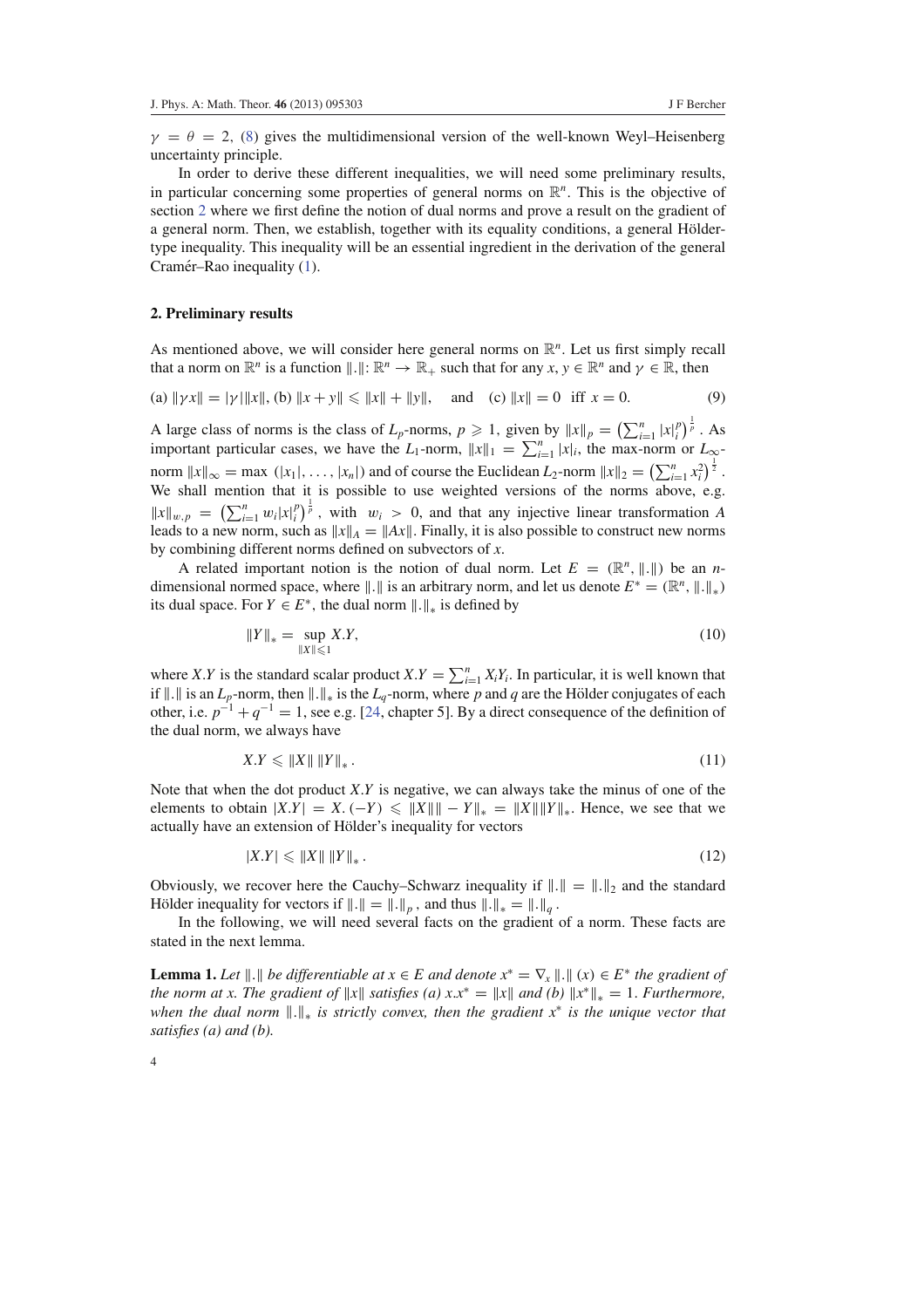$\gamma = \theta = 2$ , (8) gives the multidimensional version of the well-known Weyl–Heisenberg uncertainty principle.

In order to derive these different inequalities, we will need some preliminary results, in particular concerning some properties of general norms on  $\mathbb{R}^n$ . This is the objective of section 2 where we first define the notion of dual norms and prove a result on the gradient of a general norm. Then, we establish, together with its equality conditions, a general Höldertype inequality. This inequality will be an essential ingredient in the derivation of the general Cramér–Rao inequality (1).

#### **2. Preliminary results**

As mentioned above, we will consider here general norms on  $\mathbb{R}^n$ . Let us first simply recall that a norm on  $\mathbb{R}^n$  is a function  $\|\cdot\|: \mathbb{R}^n \to \mathbb{R}_+$  such that for any  $x, y \in \mathbb{R}^n$  and  $\gamma \in \mathbb{R}$ , then

(a) 
$$
\|\gamma x\| = |\gamma| \|x\|
$$
, (b)  $\|x + y\| \le \|x\| + \|y\|$ , and (c)  $\|x\| = 0$  iff  $x = 0$ . (9)

A large class of norms is the class of  $L_p$ -norms,  $p \ge 1$ , given by  $||x||_p = \left(\sum_{i=1}^n |x|_i^p\right)^{\frac{1}{p}}$ . As important particular cases, we have the *L*<sub>1</sub>-norm,  $||x||_1 = \sum_{i=1}^n |x_i|$ , the max-norm or  $L_{\infty}$ norm  $||x||_{\infty} = \max(|x_1|, \ldots, |x_n|)$  and of course the Euclidean  $L_2$ -norm  $||x||_2 = \left(\sum_{i=1}^n x_i^2\right)^{\frac{1}{2}}$ . We shall mention that it is possible to use weighted versions of the norms above, e.g.  $||x||_{w,p} = \left(\sum_{i=1}^n w_i |x|_i^p\right)^{\frac{1}{p}}$ , with  $w_i > 0$ , and that any injective linear transformation *A* leads to a new norm, such as  $||x||_A = ||Ax||$ . Finally, it is also possible to construct new norms by combining different norms defined on subvectors of *x*.

A related important notion is the notion of dual norm. Let  $E = (\mathbb{R}^n, ||.||)$  be an *n*dimensional normed space, where  $\|\cdot\|$  is an arbitrary norm, and let us denote  $E^* = (\mathbb{R}^n, \|\cdot\|_*)$ its dual space. For  $Y \in E^*$ , the dual norm  $\|.\|_*$  is defined by

$$
||Y||_* = \sup_{||X|| \le 1} X.Y,
$$
\n(10)

where *X*.*Y* is the standard scalar product *X*.*Y* =  $\sum_{i=1}^{n} X_i Y_i$ . In particular, it is well known that if  $\|\cdot\|$  is an *L*<sub>*p*</sub>-norm, then  $\|\cdot\|_*$  is the *L*<sub>*q*</sub>-norm, where *p* and *q* are the Hölder conjugates of each other, i.e.  $p^{-1} + q^{-1} = 1$ , see e.g. [24, chapter 5]. By a direct consequence of the definition of the dual norm, we always have

$$
X.Y \leqslant \|X\| \|Y\|_{*} \tag{11}
$$

Note that when the dot product *X*.*Y* is negative, we can always take the minus of one of the elements to obtain  $|X,Y| = X$ . (−*Y*)  $\leq |X||$ || − *Y*||\* = ||X||||Y||\*. Hence, we see that we actually have an extension of Hölder's inequality for vectors

$$
|X.Y| \leqslant \|X\| \left\|Y\right\|_{*}.\tag{12}
$$

Obviously, we recover here the Cauchy–Schwarz inequality if  $\|.\| = \|.\|_2$  and the standard Hölder inequality for vectors if  $\Vert . \Vert = \Vert . \Vert_p$ , and thus  $\Vert . \Vert_* = \Vert . \Vert_q$ .

In the following, we will need several facts on the gradient of a norm. These facts are stated in the next lemma.

**Lemma 1.** *Let*  $\|\cdot\|$  *be differentiable at*  $x \in E$  *and denote*  $x^* = \nabla_x \|\cdot\|$   $(x) \in E^*$  *the gradient of the norm at x. The gradient of*  $||x||$  *satisfies (a) x.x*<sup>\*</sup> =  $||x||$  *and (b)*  $||x^*||_* = 1$ *. Furthermore, when the dual norm*  $\Vert . \Vert_{*}$  *is strictly convex, then the gradient x<sup>∗</sup> is the unique vector that satisfies (a) and (b).*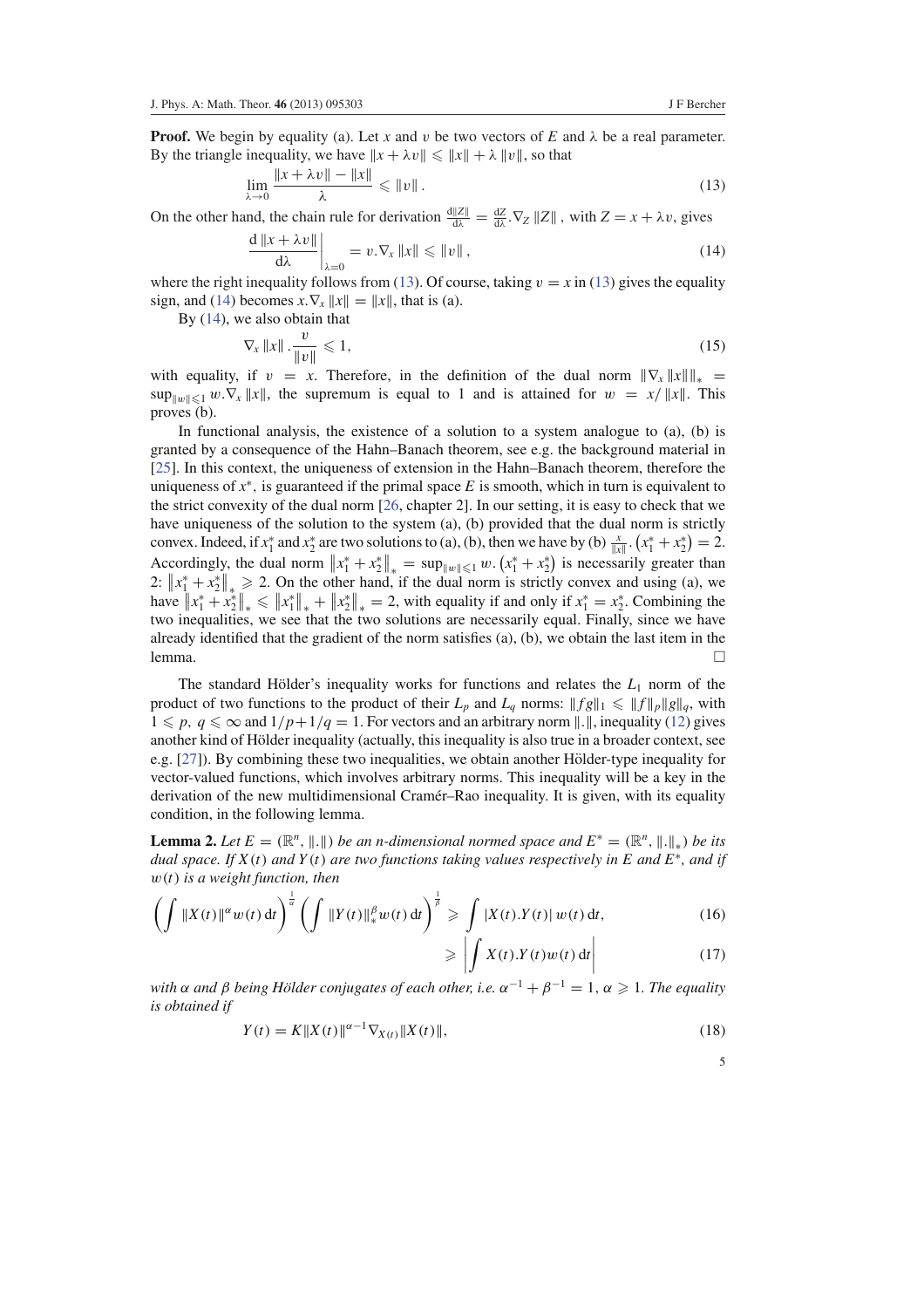**Proof.** We begin by equality (a). Let *x* and *v* be two vectors of *E* and  $\lambda$  be a real parameter. By the triangle inequality, we have  $||x + \lambda v|| \le ||x|| + \lambda ||v||$ , so that

$$
\lim_{\lambda \to 0} \frac{\|x + \lambda v\| - \|x\|}{\lambda} \le \|v\| \,.
$$
\n<sup>(13)</sup>

On the other hand, the chain rule for derivation  $\frac{d||Z||}{d\lambda} = \frac{dZ}{d\lambda} \cdot \nabla_Z ||Z||$ , with  $Z = x + \lambda v$ , gives

$$
\frac{d \|x + \lambda v\|}{d\lambda}\bigg|_{\lambda=0} = v.\nabla_x \|x\| \le \|v\|,
$$
\n(14)

where the right inequality follows from (13). Of course, taking  $v = x$  in (13) gives the equality sign, and (14) becomes  $x.\nabla_x ||x|| = ||x||$ , that is (a).

By (14), we also obtain that

$$
\nabla_x \|x\| \cdot \frac{v}{\|v\|} \leqslant 1,\tag{15}
$$

with equality, if  $v = x$ . Therefore, in the definition of the dual norm  $\|\nabla_x \|x\|_{\infty} =$  $\sup_{\|w\| \leq 1} w \cdot \nabla_x \|x\|$ , the supremum is equal to 1 and is attained for  $w = x/||x||$ . This proves (b).

In functional analysis, the existence of a solution to a system analogue to (a), (b) is granted by a consequence of the Hahn–Banach theorem, see e.g. the background material in [25]. In this context, the uniqueness of extension in the Hahn–Banach theorem, therefore the uniqueness of  $x^*$ , is guaranteed if the primal space  $E$  is smooth, which in turn is equivalent to the strict convexity of the dual norm [26, chapter 2]. In our setting, it is easy to check that we have uniqueness of the solution to the system (a), (b) provided that the dual norm is strictly convex. Indeed, if  $x_1^*$  and  $x_2^*$  are two solutions to (a), (b), then we have by (b)  $\frac{x}{\|x\|} \cdot (x_1^* + x_2^*) = 2$ . Accordingly, the dual norm  $||x_1^* + x_2^*||_* = \sup_{||w|| \leq 1} w \cdot (x_1^* + x_2^*)$  is necessarily greater than 2:  $||x_1^* + x_2^*||_* \ge 2$ . On the other hand, if the dual norm is strictly convex and using (a), we have  $||x_1^* + x_2^*||_* \le ||x_1^*||_* + ||x_2^*||_* = 2$ , with equality if and only if  $x_1^* = x_2^*$ . Combining the two inequalities, we see that the two solutions are necessarily equal. Finally, since we have already identified that the gradient of the norm satisfies (a), (b), we obtain the last item in the lemma.  $\Box$ 

The standard Hölder's inequality works for functions and relates the  $L_1$  norm of the product of two functions to the product of their  $L_p$  and  $L_q$  norms:  $||fg||_1 \le ||f||_p ||g||_q$ , with  $1 \leqslant p, q \leqslant \infty$  and  $1/p+1/q=1$ . For vectors and an arbitrary norm  $\|.\|$ , inequality (12) gives another kind of Hölder inequality (actually, this inequality is also true in a broader context, see e.g.  $[27]$ ). By combining these two inequalities, we obtain another Hölder-type inequality for vector-valued functions, which involves arbitrary norms. This inequality will be a key in the derivation of the new multidimensional Cramér–Rao inequality. It is given, with its equality condition, in the following lemma.

**Lemma 2.** Let  $E = (\mathbb{R}^n, \|\cdot\|)$  be an n-dimensional normed space and  $E^* = (\mathbb{R}^n, \|\cdot\|_*)$  be its *dual space. If X*(*t*) *and Y* (*t*) *are two functions taking values respectively in E and E*<sup>∗</sup> *, and if* w(*t*) *is a weight function, then*

$$
\left(\int \|X(t)\|^\alpha w(t) \, \mathrm{d}t\right)^{\frac{1}{\alpha}} \left(\int \|Y(t)\|_{*}^\beta w(t) \, \mathrm{d}t\right)^{\frac{1}{\beta}} \geq \int \left|X(t).Y(t)\right| w(t) \, \mathrm{d}t,\tag{16}
$$

$$
\geqslant \left| \int X(t) \cdot Y(t) w(t) \, \mathrm{d}t \right| \tag{17}
$$

with  $\alpha$  and  $\beta$  being Hölder conjugates of each other, i.e.  $\alpha^{-1} + \beta^{-1} = 1$ ,  $\alpha \geqslant 1$ . The equality *is obtained if*

$$
Y(t) = K||X(t)||^{\alpha - 1} \nabla_{X(t)} ||X(t)||,
$$
\n(18)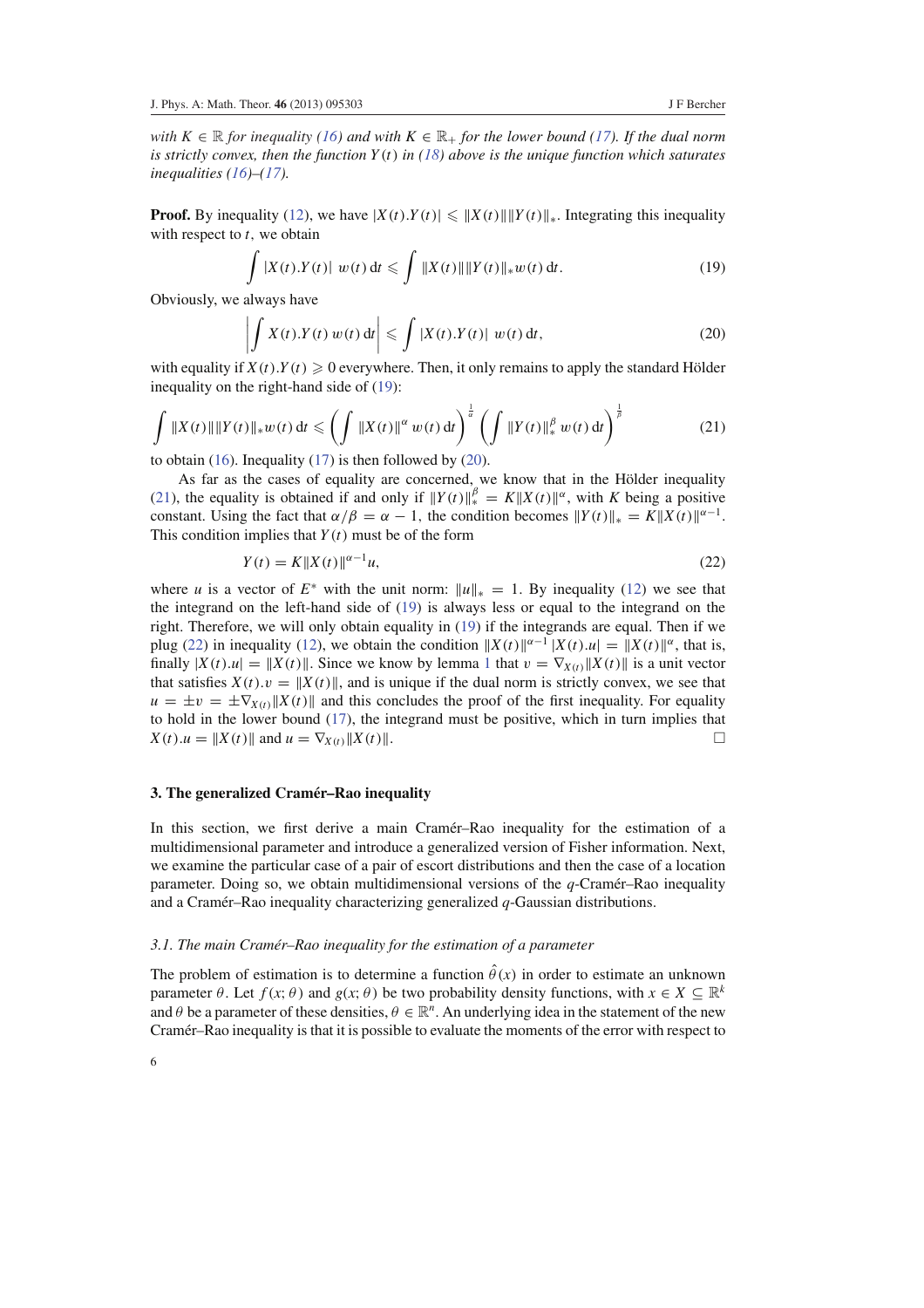*with*  $K \in \mathbb{R}$  *for inequality* (16) and with  $K \in \mathbb{R}_+$  *for the lower bound* (17). If the dual norm *is strictly convex, then the function Y* (*t*) *in (18) above is the unique function which saturates inequalities (16)–(17).*

**Proof.** By inequality (12), we have  $|X(t),Y(t)| \leq ||X(t)|| ||Y(t)||_*$ . Integrating this inequality with respect to *t*, we obtain

$$
\int |X(t).Y(t)| w(t) dt \leqslant \int \|X(t)\| \|Y(t)\|_* w(t) dt.
$$
\n(19)

Obviously, we always have

$$
\left| \int X(t) \cdot Y(t) \, w(t) \, \mathrm{d}t \right| \leqslant \int |X(t) \cdot Y(t)| \, w(t) \, \mathrm{d}t,\tag{20}
$$

with equality if  $X(t)$ . $Y(t) \ge 0$  everywhere. Then, it only remains to apply the standard Hölder inequality on the right-hand side of (19):

$$
\int \|X(t)\| \|Y(t)\|_* w(t) \, \mathrm{d}t \leq \left( \int \|X(t)\|^\alpha w(t) \, \mathrm{d}t \right)^{\frac{1}{\alpha}} \left( \int \|Y(t)\|_*^\beta w(t) \, \mathrm{d}t \right)^{\frac{1}{\beta}} \tag{21}
$$

to obtain (16). Inequality (17) is then followed by (20).

As far as the cases of equality are concerned, we know that in the Hölder inequality (21), the equality is obtained if and only if  $||Y(t)||_*^{\beta} = K||X(t)||^{\alpha}$ , with *K* being a positive constant. Using the fact that  $\alpha/\beta = \alpha - 1$ , the condition becomes  $||Y(t)||_* = K||X(t)||^{\alpha-1}$ . This condition implies that  $Y(t)$  must be of the form

$$
Y(t) = K \|X(t)\|^{a-1} u,
$$
\n(22)

where *u* is a vector of  $E^*$  with the unit norm:  $||u||_* = 1$ . By inequality (12) we see that the integrand on the left-hand side of (19) is always less or equal to the integrand on the right. Therefore, we will only obtain equality in (19) if the integrands are equal. Then if we plug (22) in inequality (12), we obtain the condition  $||X(t)||^{\alpha-1} |X(t).u| = ||X(t)||^{\alpha}$ , that is, finally  $|X(t) \cdot u| = ||X(t)||$ . Since we know by lemma 1 that  $v = \nabla_{X(t)} ||X(t)||$  is a unit vector that satisfies  $X(t)$ .  $v = ||X(t)||$ , and is unique if the dual norm is strictly convex, we see that  $u = \pm v = \pm \nabla_{X(t)} ||X(t)||$  and this concludes the proof of the first inequality. For equality to hold in the lower bound (17), the integrand must be positive, which in turn implies that  $X(t).u = \|X(t)\|$  and  $u = \nabla_{X(t)} \|X(t)\|$ .

## **3. The generalized Cramer–Rao inequality ´**

In this section, we first derive a main Cramer–Rao inequality for the estimation of a multidimensional parameter and introduce a generalized version of Fisher information. Next, we examine the particular case of a pair of escort distributions and then the case of a location parameter. Doing so, we obtain multidimensional versions of the *q*-Cramer–Rao inequality ´ and a Cramer–Rao inequality characterizing generalized  $q$ -Gaussian distributions.

#### *3.1. The main Cramer–Rao inequality for the estimation of a parameter ´*

The problem of estimation is to determine a function  $\hat{\theta}(x)$  in order to estimate an unknown parameter  $\theta$ . Let  $f(x; \theta)$  and  $g(x; \theta)$  be two probability density functions, with  $x \in X \subseteq \mathbb{R}^k$ and  $\theta$  be a parameter of these densities,  $\theta \in \mathbb{R}^n$ . An underlying idea in the statement of the new Cramér–Rao inequality is that it is possible to evaluate the moments of the error with respect to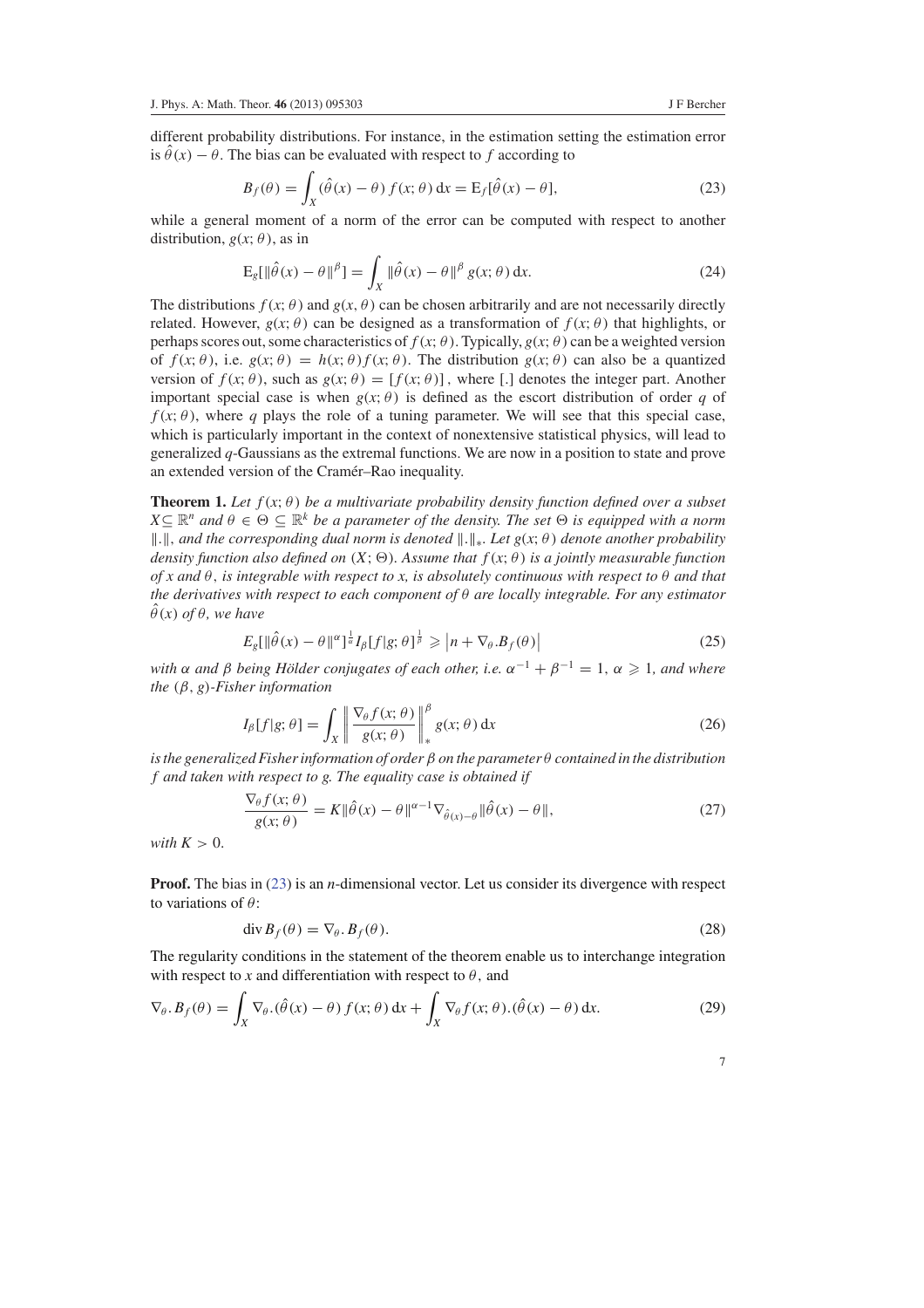different probability distributions. For instance, in the estimation setting the estimation error is  $\hat{\theta}(x) - \theta$ . The bias can be evaluated with respect to f according to

$$
B_f(\theta) = \int_X (\hat{\theta}(x) - \theta) f(x; \theta) dx = E_f[\hat{\theta}(x) - \theta],
$$
\n(23)

while a general moment of a norm of the error can be computed with respect to another distribution,  $g(x; \theta)$ , as in

$$
\mathcal{E}_{g}[\|\hat{\theta}(x) - \theta\|^{p}] = \int_{X} \|\hat{\theta}(x) - \theta\|^{p} g(x; \theta) dx.
$$
 (24)

The distributions  $f(x; \theta)$  and  $g(x, \theta)$  can be chosen arbitrarily and are not necessarily directly related. However,  $g(x; \theta)$  can be designed as a transformation of  $f(x; \theta)$  that highlights, or perhaps scores out, some characteristics of  $f(x; \theta)$ . Typically,  $g(x; \theta)$  can be a weighted version of  $f(x; \theta)$ , i.e.  $g(x; \theta) = h(x; \theta) f(x; \theta)$ . The distribution  $g(x; \theta)$  can also be a quantized version of  $f(x; \theta)$ , such as  $g(x; \theta) = [f(x; \theta)]$ , where [.] denotes the integer part. Another important special case is when  $g(x; \theta)$  is defined as the escort distribution of order *q* of  $f(x; \theta)$ , where *q* plays the role of a tuning parameter. We will see that this special case, which is particularly important in the context of nonextensive statistical physics, will lead to generalized *q*-Gaussians as the extremal functions. We are now in a position to state and prove an extended version of the Cramér–Rao inequality.

**Theorem 1.** Let  $f(x; \theta)$  be a multivariate probability density function defined over a subset  $X \subseteq \mathbb{R}^n$  and  $\theta \in \Theta \subseteq \mathbb{R}^k$  *be a parameter of the density. The set*  $\Theta$  *is equipped with a norm* k.k, *and the corresponding dual norm is denoted* k.k∗*. Let g*(*x*; θ ) *denote another probability density function also defined on*  $(X; \Theta)$ *. Assume that*  $f(x; \theta)$  *is a jointly measurable function of x and* θ, *is integrable with respect to x, is absolutely continuous with respect to* θ *and that the derivatives with respect to each component of* θ *are locally integrable. For any estimator*  $\theta(x)$  *of*  $\theta$ *, we have* 

$$
E_g[\|\hat{\theta}(x) - \theta\|^{\alpha}]^{\frac{1}{\alpha}} I_{\beta}[f|g; \theta]^{\frac{1}{\beta}} \geqslant |n + \nabla_{\theta}.B_f(\theta)| \tag{25}
$$

*with*  $\alpha$  *and*  $\beta$  *being Hölder conjugates of each other, i.e.*  $\alpha^{-1} + \beta^{-1} = 1$ ,  $\alpha \geq 1$ *, and where the* (β, *g*)*-Fisher information*

$$
I_{\beta}[f|g; \theta] = \int_{X} \left\| \frac{\nabla_{\theta} f(x; \theta)}{g(x; \theta)} \right\|_{*}^{\beta} g(x; \theta) dx
$$
 (26)

*is the generalized Fisher information of order* β *on the parameter* θ *contained in the distribution f and taken with respect to g. The equality case is obtained if*

$$
\frac{\nabla_{\theta} f(x;\theta)}{g(x;\theta)} = K \|\hat{\theta}(x) - \theta\|^{\alpha - 1} \nabla_{\hat{\theta}(x) - \theta} \|\hat{\theta}(x) - \theta\|,
$$
\n(27)

*with*  $K > 0$ .

**Proof.** The bias in (23) is an *n*-dimensional vector. Let us consider its divergence with respect to variations of  $\theta$ :

$$
\operatorname{div} B_f(\theta) = \nabla_{\theta} \cdot B_f(\theta). \tag{28}
$$

The regularity conditions in the statement of the theorem enable us to interchange integration with respect to *x* and differentiation with respect to  $\theta$ , and

$$
\nabla_{\theta} \cdot B_f(\theta) = \int_X \nabla_{\theta} \cdot (\hat{\theta}(x) - \theta) f(x; \theta) dx + \int_X \nabla_{\theta} f(x; \theta) \cdot (\hat{\theta}(x) - \theta) dx.
$$
 (29)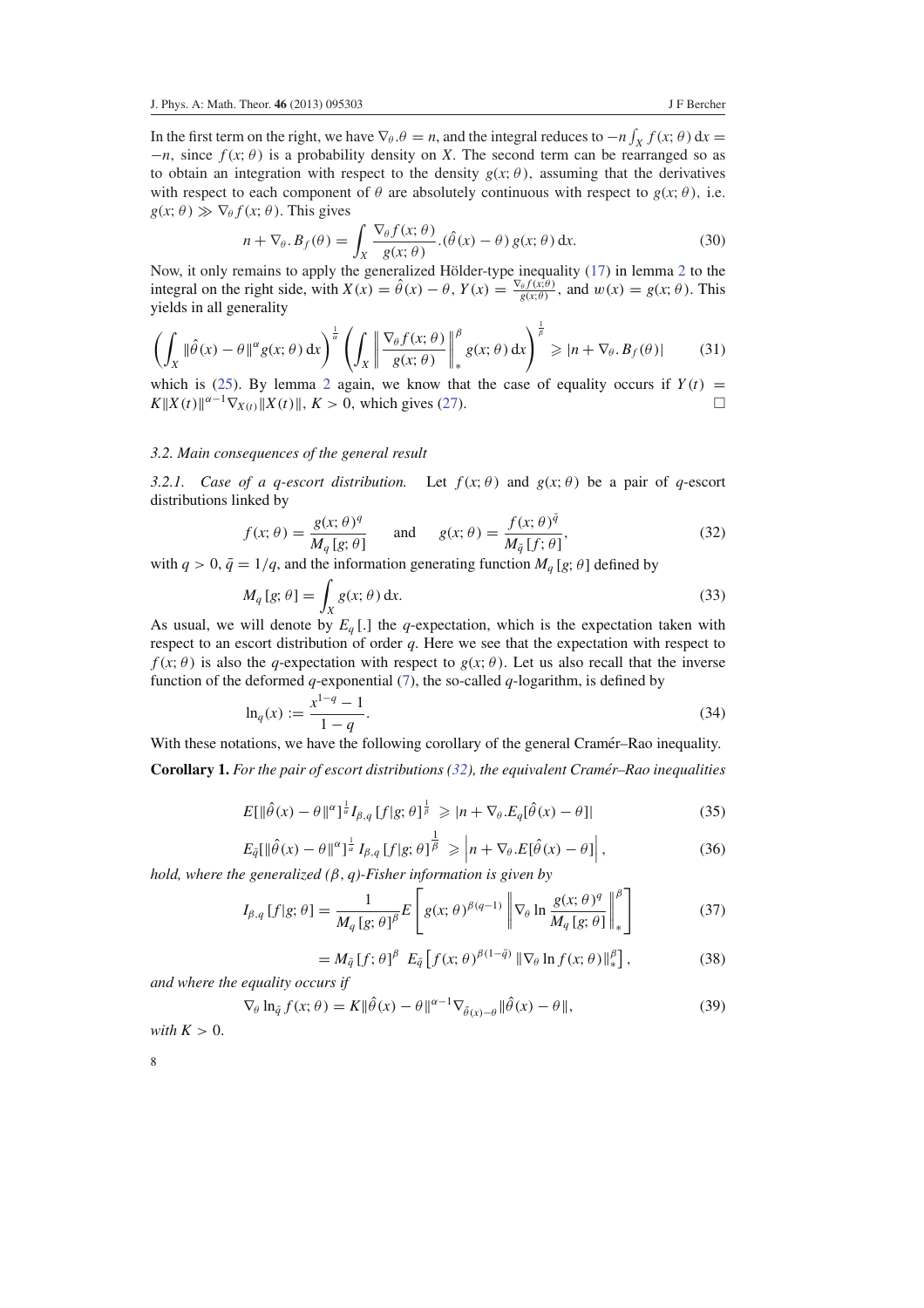In the first term on the right, we have  $\nabla_{\theta}.\theta = n$ , and the integral reduces to  $-n \int_X f(x;\theta) dx =$  $-n$ , since  $f(x; \theta)$  is a probability density on *X*. The second term can be rearranged so as to obtain an integration with respect to the density  $g(x; \theta)$ , assuming that the derivatives with respect to each component of  $\theta$  are absolutely continuous with respect to  $g(x; \theta)$ , i.e.  $g(x; \theta) \gg \nabla_{\theta} f(x; \theta)$ . This gives

$$
n + \nabla_{\theta} \cdot B_f(\theta) = \int_X \frac{\nabla_{\theta} f(x; \theta)}{g(x; \theta)} \cdot (\hat{\theta}(x) - \theta) g(x; \theta) dx.
$$
 (30)

Now, it only remains to apply the generalized Hölder-type inequality (17) in lemma 2 to the integral on the right side, with  $X(x) = \hat{\theta}(x) - \theta$ ,  $Y(x) = \frac{\nabla_{\theta} f(x; \theta)}{g(x; \theta)}$ , and  $w(x) = g(x; \theta)$ . This yields in all generality

$$
\left(\int_X \|\hat{\theta}(x) - \theta\|^{\alpha} g(x;\theta) dx\right)^{\frac{1}{\alpha}} \left(\int_X \left\|\frac{\nabla_{\theta} f(x;\theta)}{g(x;\theta)}\right\|_{*}^{\beta} g(x;\theta) dx\right)^{\frac{1}{\beta}} \geqslant |n + \nabla_{\theta}.B_f(\theta)|\tag{31}
$$

which is (25). By lemma 2 again, we know that the case of equality occurs if  $Y(t)$  =  $K||X(t)||^{\alpha-1}\nabla_{X(t)}||X(t)||$ ,  $K > 0$ , which gives (27).

# *3.2. Main consequences of the general result*

*3.2.1.* Case of a *q-escort distribution.* Let  $f(x; \theta)$  and  $g(x; \theta)$  be a pair of *q-escort* distributions linked by

$$
f(x; \theta) = \frac{g(x; \theta)^q}{M_q [g; \theta]} \quad \text{and} \quad g(x; \theta) = \frac{f(x; \theta)^{\bar{q}}}{M_{\bar{q}} [f; \theta]},
$$
(32)

with  $q > 0$ ,  $\bar{q} = 1/q$ , and the information generating function  $M_q$  [g;  $\theta$ ] defined by

$$
M_q[g; \theta] = \int_X g(x; \theta) dx.
$$
 (33)

As usual, we will denote by  $E_q$  [.] the *q*-expectation, which is the expectation taken with respect to an escort distribution of order *q*. Here we see that the expectation with respect to  $f(x; \theta)$  is also the *q*-expectation with respect to  $g(x; \theta)$ . Let us also recall that the inverse function of the deformed *q*-exponential  $(7)$ , the so-called *q*-logarithm, is defined by

$$
\ln_q(x) := \frac{x^{1-q} - 1}{1-q}.\tag{34}
$$

With these notations, we have the following corollary of the general Cramer–Rao inequality.

**Corollary 1.** *For the pair of escort distributions (32), the equivalent Cramer–Rao inequalities ´*

$$
E[\|\hat{\theta}(x) - \theta\|^{\alpha}]^{\frac{1}{\alpha}} I_{\beta,q} [f|g; \theta]^{\frac{1}{\beta}} \geqslant |n + \nabla_{\theta}. E_q[\hat{\theta}(x) - \theta]| \tag{35}
$$

$$
E_{\tilde{q}}[\|\hat{\theta}(x) - \theta\|^{\alpha}]^{\frac{1}{\alpha}} I_{\beta,q}[f|g;\theta]^{\frac{1}{\beta}} \geq \left|n + \nabla_{\theta}.E[\hat{\theta}(x) - \theta]\right|,
$$
\n(36)

*hold, where the generalized (*β, *q)-Fisher information is given by*

$$
I_{\beta,q}[f|g;\theta] = \frac{1}{M_q[g;\theta]^{\beta}} E\left[g(x;\theta)^{\beta(q-1)} \left\|\nabla_{\theta}\ln\frac{g(x;\theta)^q}{M_q[g;\theta]}\right\|_{*}^{\beta}\right]
$$
(37)

$$
= M_{\bar{q}}[f; \theta]^{\beta} E_{\bar{q}}[f(x; \theta)^{\beta(1-\bar{q})} \| \nabla_{\theta} \ln f(x; \theta) \|_{*}^{\beta}], \qquad (38)
$$

*and where the equality occurs if*

$$
\nabla_{\theta} \ln_{\tilde{q}} f(x; \theta) = K \| \hat{\theta}(x) - \theta \|^{ \alpha - 1} \nabla_{\hat{\theta}(x) - \theta} \| \hat{\theta}(x) - \theta \|,
$$
\n(39)

*with*  $K > 0$ .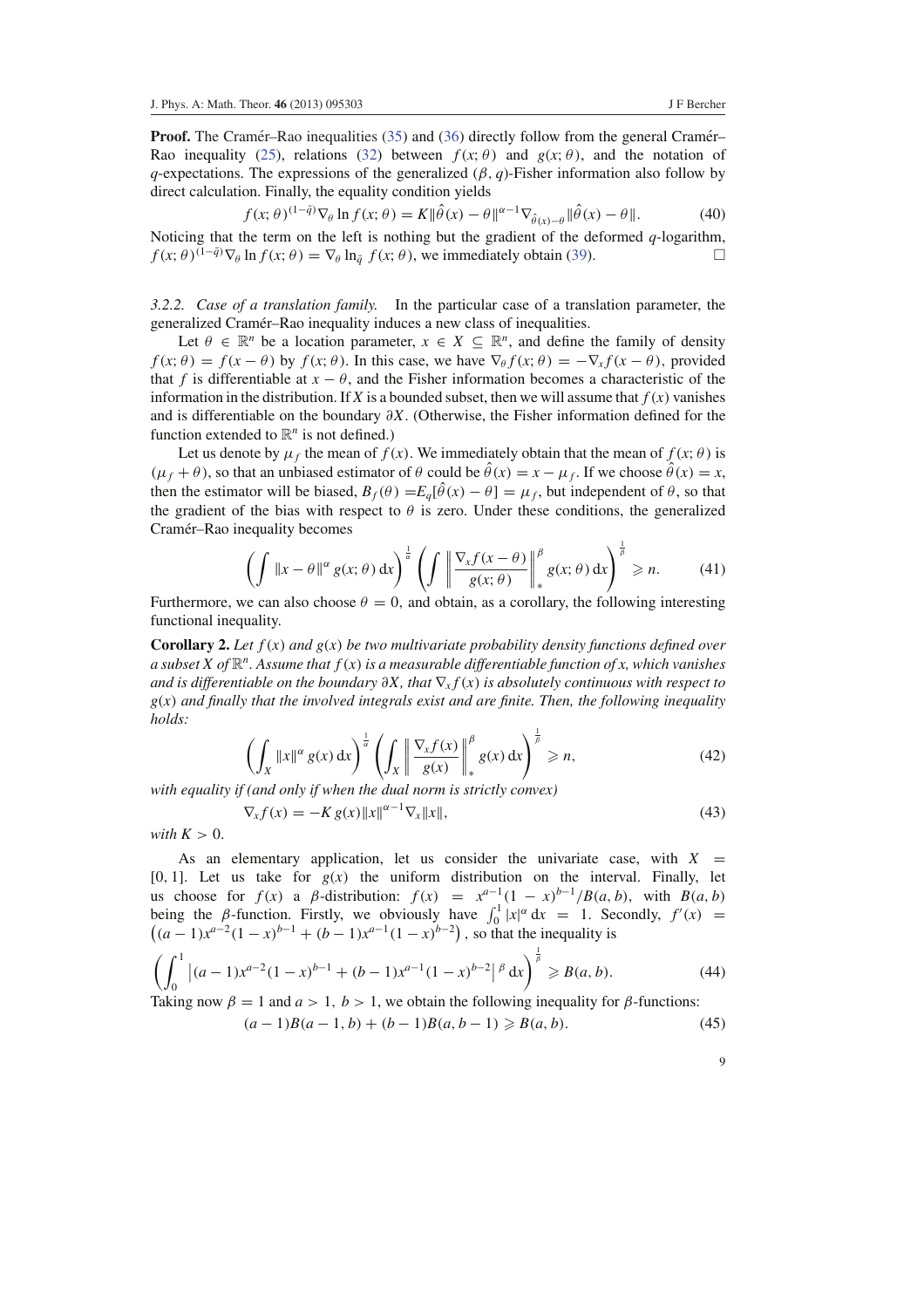**Proof.** The Cramer–Rao inequalities (35) and (36) directly follow from the general Cramer– Rao inequality (25), relations (32) between  $f(x; \theta)$  and  $g(x; \theta)$ , and the notation of *q*-expectations. The expressions of the generalized  $(\beta, q)$ -Fisher information also follow by direct calculation. Finally, the equality condition yields

$$
f(x; \theta)^{(1-\tilde{q})} \nabla_{\theta} \ln f(x; \theta) = K \|\hat{\theta}(x) - \theta\|^{1-\alpha} \nabla_{\hat{\theta}(x) - \theta} \|\hat{\theta}(x) - \theta\|.
$$
 (40)

Noticing that the term on the left is nothing but the gradient of the deformed *q*-logarithm,  $f(x; \theta)^{(1-\bar{q})}\nabla_{\theta} \ln f(x; \theta) = \nabla_{\theta} \ln_{\bar{q}} f(x; \theta)$ , we immediately obtain (39).

*3.2.2. Case of a translation family.* In the particular case of a translation parameter, the generalized Cramér–Rao inequality induces a new class of inequalities.

Let  $\theta \in \mathbb{R}^n$  be a location parameter,  $x \in X \subseteq \mathbb{R}^n$ , and define the family of density  $f(x; \theta) = f(x - \theta)$  by  $f(x; \theta)$ . In this case, we have  $\nabla_{\theta} f(x; \theta) = -\nabla_x f(x - \theta)$ , provided that *f* is differentiable at  $x - \theta$ , and the Fisher information becomes a characteristic of the information in the distribution. If *X* is a bounded subset, then we will assume that  $f(x)$  vanishes and is differentiable on the boundary ∂*X*. (Otherwise, the Fisher information defined for the function extended to  $\mathbb{R}^n$  is not defined.)

Let us denote by  $\mu_f$  the mean of  $f(x)$ . We immediately obtain that the mean of  $f(x; \theta)$  is  $(\mu_f + \theta)$ , so that an unbiased estimator of  $\theta$  could be  $\hat{\theta}(x) = x - \mu_f$ . If we choose  $\hat{\theta}(x) = x$ , then the estimator will be biased,  $B_f(\theta) = E_q[\hat{\theta}(x) - \theta] = \mu_f$ , but independent of  $\theta$ , so that the gradient of the bias with respect to  $\theta$  is zero. Under these conditions, the generalized Cramér–Rao inequality becomes

$$
\left(\int \|x-\theta\|^{\alpha} g(x;\theta) dx\right)^{\frac{1}{\alpha}} \left(\int \left\|\frac{\nabla_x f(x-\theta)}{g(x;\theta)}\right\|_{*}^{\beta} g(x;\theta) dx\right)^{\frac{1}{\beta}} \geq n. \tag{41}
$$

Furthermore, we can also choose  $\theta = 0$ , and obtain, as a corollary, the following interesting functional inequality.

**Corollary 2.** Let  $f(x)$  and  $g(x)$  be two multivariate probability density functions defined over *a subset X of* R *n . Assume that f*(*x*) *is a measurable differentiable function of x, which vanishes and is differentiable on the boundary*  $\partial X$ , that  $\nabla_x f(x)$  *is absolutely continuous with respect to g*(*x*) *and finally that the involved integrals exist and are finite. Then, the following inequality holds:*

$$
\left(\int_X \|x\|^\alpha g(x) \, \mathrm{d}x\right)^{\frac{1}{\alpha}} \left(\int_X \left\|\frac{\nabla_x f(x)}{g(x)}\right\|_\ast^\beta g(x) \, \mathrm{d}x\right)^{\frac{1}{\beta}} \geqslant n,\tag{42}
$$

*with equality if (and only if when the dual norm is strictly convex)*

$$
\nabla_x f(x) = -K g(x) \|x\|^{\alpha - 1} \nabla_x \|x\|,\tag{43}
$$

*with*  $K > 0$ .

As an elementary application, let us consider the univariate case, with  $X =$ [0, 1]. Let us take for  $g(x)$  the uniform distribution on the interval. Finally, let us choose for  $f(x)$  a  $\beta$ -distribution:  $f(x) = x^{a-1}(1-x)^{b-1}/B(a, b)$ , with  $B(a, b)$ being the *β*-function. Firstly, we obviously have  $\int_0^1 |x|^\alpha dx = 1$ . Secondly,  $f'(x) =$  $((a-1)x^{a-2}(1-x)^{b-1} + (b-1)x^{a-1}(1-x)^{b-2})$ , so that the inequality is

$$
\left(\int_0^1 \left| (a-1)x^{a-2} (1-x)^{b-1} + (b-1)x^{a-1} (1-x)^{b-2} \right|^{\beta} dx \right)^{\frac{1}{\beta}} \ge B(a, b). \tag{44}
$$

Taking now  $\beta = 1$  and  $a > 1$ ,  $b > 1$ , we obtain the following inequality for  $\beta$ -functions:

$$
(a-1)B(a-1,b) + (b-1)B(a,b-1) \ge B(a,b).
$$
 (45)

| ٧              |
|----------------|
|                |
|                |
|                |
| ۰.<br>۰.<br>۰, |
| ٧              |
|                |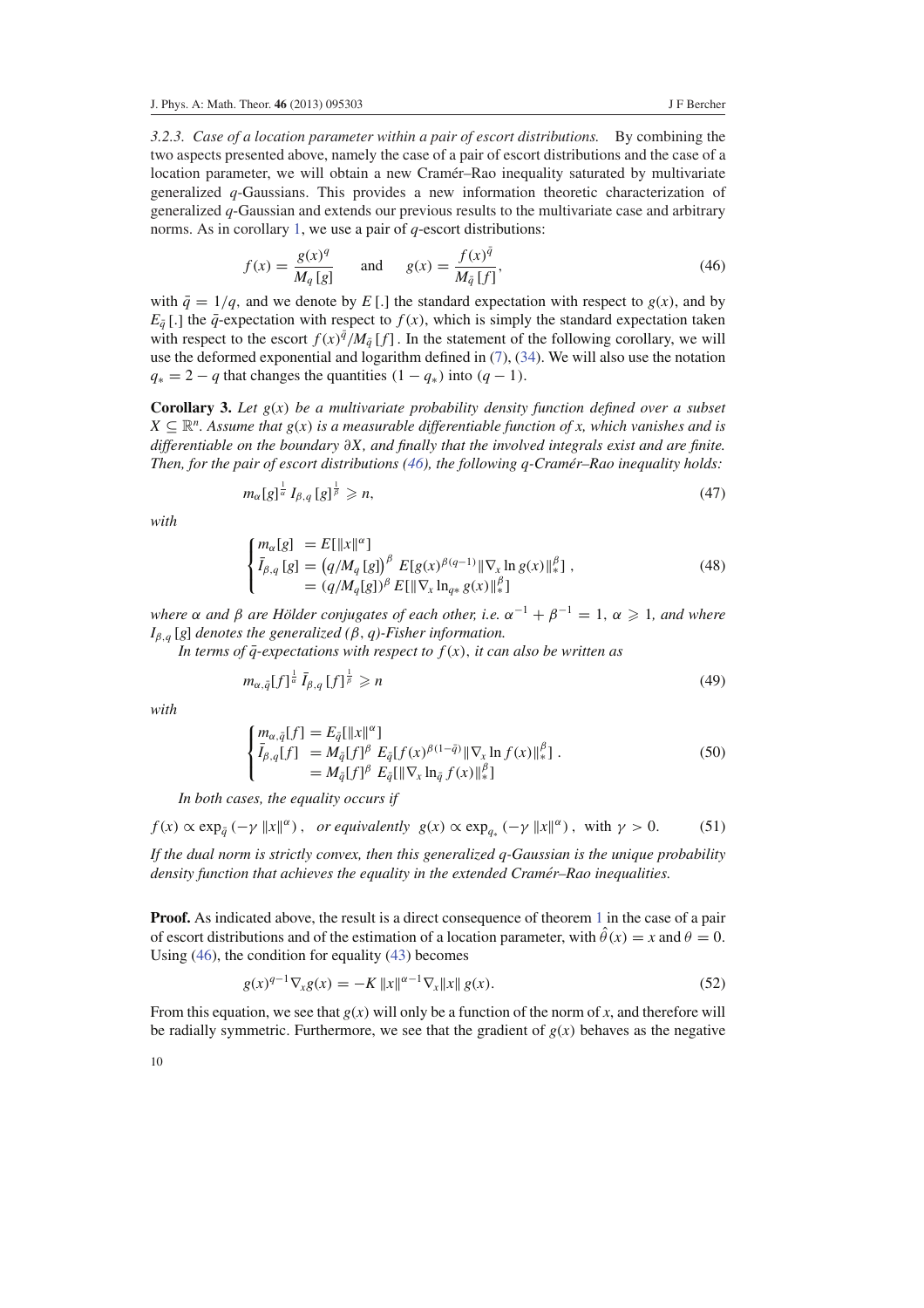*3.2.3. Case of a location parameter within a pair of escort distributions.* By combining the two aspects presented above, namely the case of a pair of escort distributions and the case of a location parameter, we will obtain a new Cramér–Rao inequality saturated by multivariate generalized *q*-Gaussians. This provides a new information theoretic characterization of generalized *q*-Gaussian and extends our previous results to the multivariate case and arbitrary norms. As in corollary 1, we use a pair of *q*-escort distributions:

$$
f(x) = \frac{g(x)^{q}}{M_{q}[g]} \quad \text{and} \quad g(x) = \frac{f(x)^{\bar{q}}}{M_{\bar{q}}[f]},
$$
 (46)

with  $\bar{q} = 1/q$ , and we denote by *E* [.] the standard expectation with respect to *g*(*x*), and by  $E_{\bar{q}}$ [.] the  $\bar{q}$ -expectation with respect to  $f(x)$ , which is simply the standard expectation taken with respect to the escort  $f(x)^{\bar{q}}/M_{\bar{q}}[f]$ . In the statement of the following corollary, we will use the deformed exponential and logarithm defined in  $(7)$ ,  $(34)$ . We will also use the notation  $q_* = 2 - q$  that changes the quantities  $(1 - q_*)$  into  $(q - 1)$ .

**Corollary 3.** Let  $g(x)$  be a multivariate probability density function defined over a subset  $X \subseteq \mathbb{R}^n$ . Assume that  $g(x)$  is a measurable differentiable function of x, which vanishes and is *differentiable on the boundary* ∂*X, and finally that the involved integrals exist and are finite. Then, for the pair of escort distributions (46), the following q-Cramer–Rao inequality holds: ´*

$$
m_{\alpha}[g]^{\frac{1}{\alpha}} I_{\beta,q}[g]^{\frac{1}{\beta}} \geqslant n,\tag{47}
$$

*with*

$$
\begin{cases}\n m_{\alpha}[g] &= E[\|x\|^{\alpha}]\n \bar{I}_{\beta,q}[g] = (q/M_q[g])^{\beta} E[g(x)^{\beta(q-1)} \| \nabla_x \ln g(x) \|_*^{\beta}],\n \end{cases} \tag{48}
$$
\n
$$
= (q/M_q[g])^{\beta} E[\| \nabla_x \ln_{q*} g(x) \|_*^{\beta}]
$$

*where*  $\alpha$  *and*  $\beta$  *are Hölder conjugates of each other, i.e.*  $\alpha^{-1} + \beta^{-1} = 1$ ,  $\alpha \geq 1$ *, and where*  $I_{\beta,q}$  [*g*] *denotes the generalized* ( $\beta$ , *q*)-*Fisher information.* 

*In terms of*  $\bar{q}$ *-expectations with respect to*  $f(x)$ *, it can also be written as* 

1

$$
m_{\alpha,\bar{q}}[f]^{\frac{1}{\alpha}}\bar{I}_{\beta,q}[f]^{\frac{1}{\beta}} \geqslant n \tag{49}
$$

*with*

$$
\begin{cases}\n m_{\alpha,\bar{q}}[f] = E_{\bar{q}}[\|x\|^{\alpha}] \\
\bar{I}_{\beta,q}[f] = M_{\bar{q}}[f]^{\beta} E_{\bar{q}}[f(x)^{\beta(1-\bar{q})} \| \nabla_x \ln f(x) \|_{*}^{\beta}]. \\
= M_{\bar{q}}[f]^{\beta} E_{\bar{q}}[\| \nabla_x \ln_{\bar{q}} f(x) \|_{*}^{\beta}]\n\end{cases} (50)
$$

*In both cases, the equality occurs if*

 $1 -$ 

$$
f(x) \propto \exp_{\bar{q}}(-\gamma ||x||^{\alpha}), \text{ or equivalently } g(x) \propto \exp_{q_*}(-\gamma ||x||^{\alpha}), \text{ with } \gamma > 0.
$$
 (51)

*If the dual norm is strictly convex, then this generalized q-Gaussian is the unique probability density function that achieves the equality in the extended Cramer–Rao inequalities. ´*

**Proof.** As indicated above, the result is a direct consequence of theorem 1 in the case of a pair of escort distributions and of the estimation of a location parameter, with  $\hat{\theta}(x) = x$  and  $\theta = 0$ . Using (46), the condition for equality (43) becomes

$$
g(x)^{q-1} \nabla_x g(x) = -K \|x\|^{\alpha-1} \nabla_x \|x\| g(x).
$$
 (52)

From this equation, we see that  $g(x)$  will only be a function of the norm of x, and therefore will be radially symmetric. Furthermore, we see that the gradient of  $g(x)$  behaves as the negative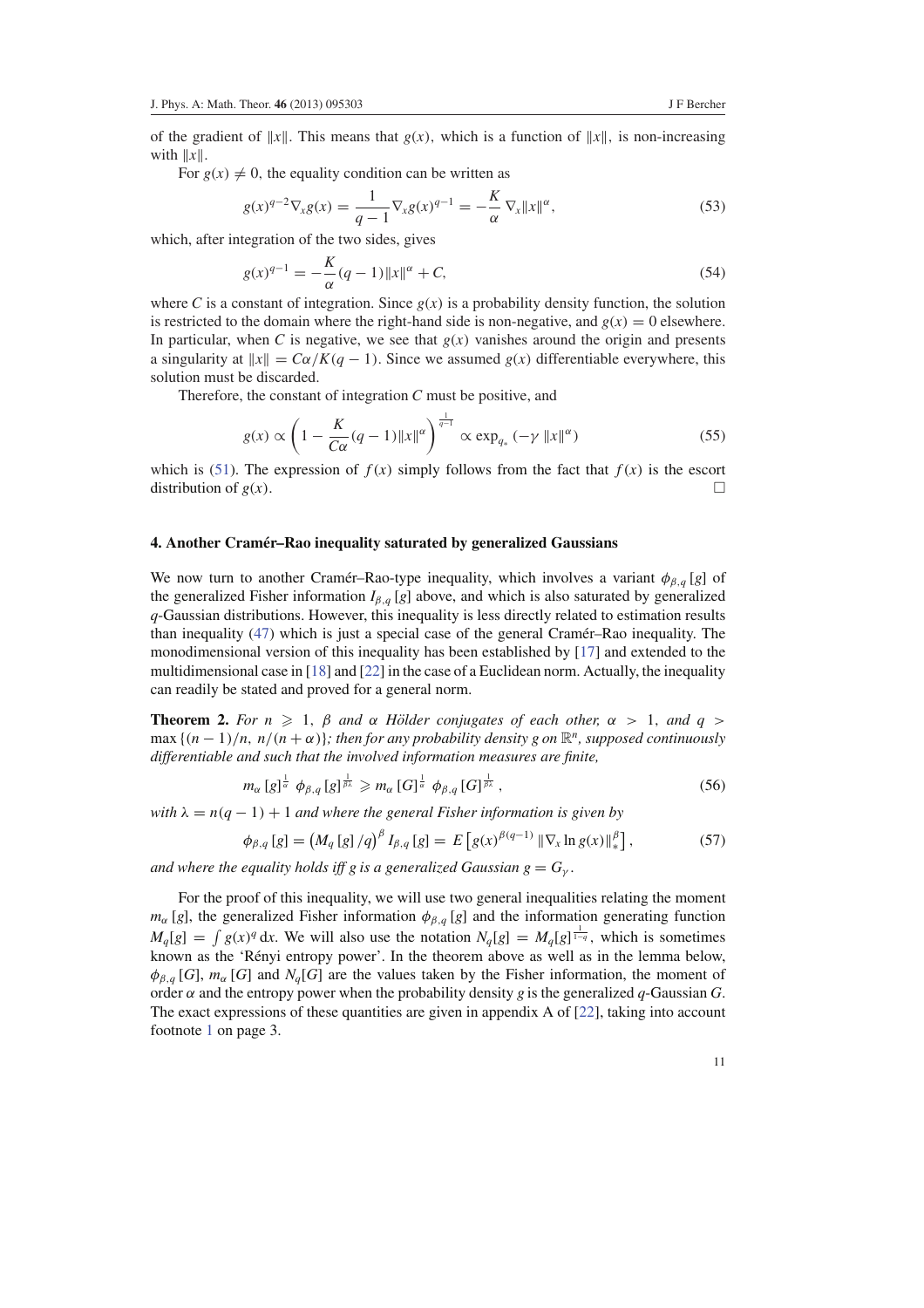of the gradient of  $||x||$ . This means that  $g(x)$ , which is a function of  $||x||$ , is non-increasing with  $||x||$ .

For  $g(x) \neq 0$ , the equality condition can be written as

$$
g(x)^{q-2} \nabla_x g(x) = \frac{1}{q-1} \nabla_x g(x)^{q-1} = -\frac{K}{\alpha} \nabla_x ||x||^{\alpha},
$$
\n(53)

which, after integration of the two sides, gives

$$
g(x)^{q-1} = -\frac{K}{\alpha}(q-1)\|x\|^{\alpha} + C,
$$
\n(54)

where *C* is a constant of integration. Since  $g(x)$  is a probability density function, the solution is restricted to the domain where the right-hand side is non-negative, and  $g(x) = 0$  elsewhere. In particular, when *C* is negative, we see that  $g(x)$  vanishes around the origin and presents a singularity at  $||x|| = C\alpha/K(q-1)$ . Since we assumed  $g(x)$  differentiable everywhere, this solution must be discarded.

Therefore, the constant of integration *C* must be positive, and

$$
g(x) \propto \left(1 - \frac{K}{C\alpha}(q-1)\|x\|^{\alpha}\right)^{\frac{1}{q-1}} \propto \exp_{q_*}(-\gamma \|x\|^{\alpha})
$$
\n(55)

which is (51). The expression of  $f(x)$  simply follows from the fact that  $f(x)$  is the escort distribution of  $g(x)$ .

#### **4. Another Cramer–Rao inequality saturated by generalized Gaussians ´**

We now turn to another Cramer–Rao-type inequality, which involves a variant  $\phi_{\beta,q}[q]$  of the generalized Fisher information  $I_{\beta,q}$  [*g*] above, and which is also saturated by generalized *q*-Gaussian distributions. However, this inequality is less directly related to estimation results than inequality (47) which is just a special case of the general Cramér–Rao inequality. The monodimensional version of this inequality has been established by [17] and extended to the multidimensional case in  $[18]$  and  $[22]$  in the case of a Euclidean norm. Actually, the inequality can readily be stated and proved for a general norm.

**Theorem 2.** *For n*  $\geq$  1,  $\beta$  *and*  $\alpha$  *Hölder conjugates of each other,*  $\alpha$  > 1, *and*  $q$  >  $\max\{(n-1)/n, n/(n+\alpha)\}\$ ; then for any probability density g on  $\mathbb{R}^n$ , supposed continuously *differentiable and such that the involved information measures are finite,*

$$
m_{\alpha} [g]^{\frac{1}{\alpha}} \phi_{\beta,q} [g]^{\frac{1}{\beta\lambda}} \geqslant m_{\alpha} [G]^{\frac{1}{\alpha}} \phi_{\beta,q} [G]^{\frac{1}{\beta\lambda}}, \qquad (56)
$$

*with*  $\lambda = n(q - 1) + 1$  *and where the general Fisher information is given by* 

$$
\phi_{\beta,q}[g] = \left(M_q[g]/q\right)^{\beta} I_{\beta,q}[g] = E\left[g(x)^{\beta(q-1)} \left\|\nabla_x \ln g(x)\right\|_{*}^{\beta}\right],\tag{57}
$$

*and where the equality holds iff g is a generalized Gaussian*  $g = G_{\gamma}$ *.* 

For the proof of this inequality, we will use two general inequalities relating the moment  $m_{\alpha}$  [*g*], the generalized Fisher information  $\phi_{\beta,q}$  [*g*] and the information generating function  $M_q[g] = \int g(x)^q dx$ . We will also use the notation  $N_q[g] = M_q[g]^{\frac{1}{1-q}}$ , which is sometimes known as the 'Rényi entropy power'. In the theorem above as well as in the lemma below,  $\phi_{\beta,q}[G]$ ,  $m_{\alpha}[G]$  and  $N_q[G]$  are the values taken by the Fisher information, the moment of order  $\alpha$  and the entropy power when the probability density *g* is the generalized *q*-Gaussian *G*. The exact expressions of these quantities are given in appendix A of  $[22]$ , taking into account footnote 1 on page 3.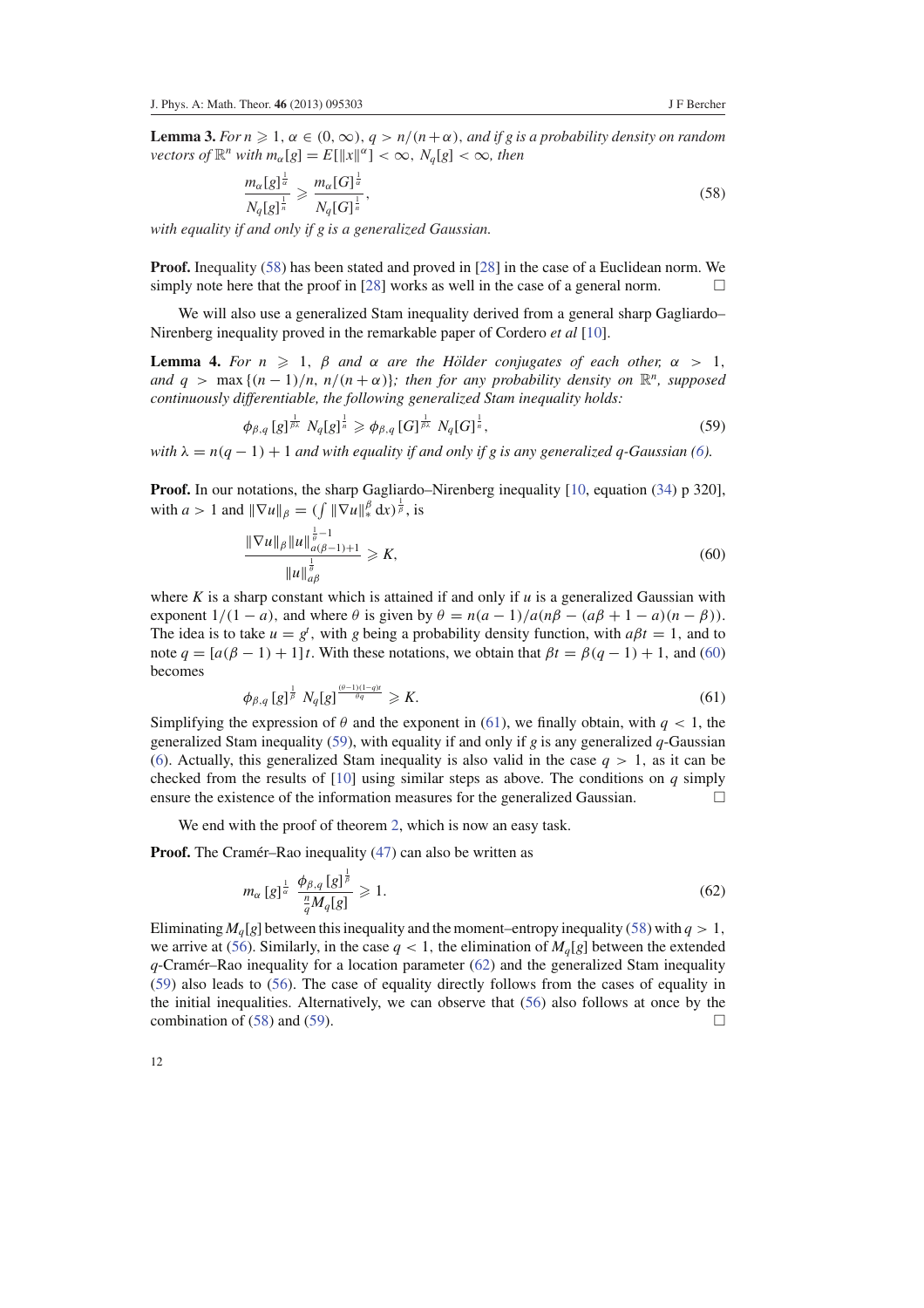**Lemma 3.** *For n*  $\geq 1$ ,  $\alpha \in (0, \infty)$ ,  $q > n/(n+\alpha)$ , *and if g is a probability density on random*  $\alpha$  *vectors of*  $\mathbb{R}^n$  *with*  $m_\alpha[g] = E[\Vert x \Vert^\alpha] < \infty$ ,  $N_q[g] < \infty$ , then

$$
\frac{m_{\alpha}[g]^{\frac{1}{\alpha}}}{N_q[g]^{\frac{1}{n}}} \geqslant \frac{m_{\alpha}[G]^{\frac{1}{\alpha}}}{N_q[G]^{\frac{1}{n}}},\tag{58}
$$

*with equality if and only if g is a generalized Gaussian.*

**Proof.** Inequality (58) has been stated and proved in [28] in the case of a Euclidean norm. We simply note here that the proof in [28] works as well in the case of a general norm.  $\Box$ 

We will also use a generalized Stam inequality derived from a general sharp Gagliardo– Nirenberg inequality proved in the remarkable paper of Cordero *et al* [10].

**Lemma 4.** *For n*  $\geq 1$ ,  $\beta$  *and*  $\alpha$  *are the Hölder conjugates of each other,*  $\alpha > 1$ , *and*  $q > \max\{(n-1)/n, n/(n+\alpha)\}$ ; then for any probability density on  $\mathbb{R}^n$ , supposed *continuously differentiable, the following generalized Stam inequality holds:*

$$
\phi_{\beta,q}[g]^{\frac{1}{\beta_{\lambda}}} N_q[g]^{\frac{1}{n}} \geq \phi_{\beta,q}[G]^{\frac{1}{\beta_{\lambda}}} N_q[G]^{\frac{1}{n}},
$$
\n(59)

*with*  $\lambda = n(q - 1) + 1$  *and with equality if and only if g is any generalized q-Gaussian (6).* 

**Proof.** In our notations, the sharp Gagliardo–Nirenberg inequality [10, equation (34) p 320], with  $a > 1$  and  $\|\nabla u\|_{\beta} = (\int \|\nabla u\|_{*}^{\beta} dx)^{\frac{1}{\beta}}$ , is

$$
\frac{\|\nabla u\|_{\beta} \|u\|_{a(\beta-1)+1}^{\frac{1}{\theta}-1}}{\|u\|_{a\beta}^{\frac{1}{\theta}}}\geq K,
$$
\n(60)

where  $K$  is a sharp constant which is attained if and only if  $u$  is a generalized Gaussian with exponent  $1/(1 - a)$ , and where  $\theta$  is given by  $\theta = n(a - 1)/a(n\beta - a\beta + 1 - a)(n - \beta)$ . The idea is to take  $u = g^t$ , with *g* being a probability density function, with  $a\beta t = 1$ , and to note  $q = [a(\beta - 1) + 1]t$ . With these notations, we obtain that  $\beta t = \beta(q - 1) + 1$ , and (60) becomes

$$
\phi_{\beta,q}[g]^{\frac{1}{\beta}} N_q[g]^{\frac{(\theta-1)(1-q)t}{\theta q}} \geqslant K. \tag{61}
$$

Simplifying the expression of  $\theta$  and the exponent in (61), we finally obtain, with  $q < 1$ , the generalized Stam inequality (59), with equality if and only if *g* is any generalized *q*-Gaussian (6). Actually, this generalized Stam inequality is also valid in the case  $q > 1$ , as it can be checked from the results of [10] using similar steps as above. The conditions on *q* simply ensure the existence of the information measures for the generalized Gaussian.  $\Box$ 

We end with the proof of theorem 2, which is now an easy task.

**Proof.** The Cramér–Rao inequality (47) can also be written as 1

$$
m_{\alpha}[g]^{\frac{1}{\alpha}} \frac{\phi_{\beta,q}[g]^{\overline{\beta}}}{\frac{n}{q}M_q[g]} \geqslant 1. \tag{62}
$$

Eliminating  $M<sub>q</sub>[g]$  between this inequality and the moment–entropy inequality (58) with  $q > 1$ , we arrive at (56). Similarly, in the case  $q < 1$ , the elimination of  $M_q[q]$  between the extended  $q$ -Cramér–Rao inequality for a location parameter  $(62)$  and the generalized Stam inequality (59) also leads to (56). The case of equality directly follows from the cases of equality in the initial inequalities. Alternatively, we can observe that (56) also follows at once by the combination of (58) and (59).  $\Box$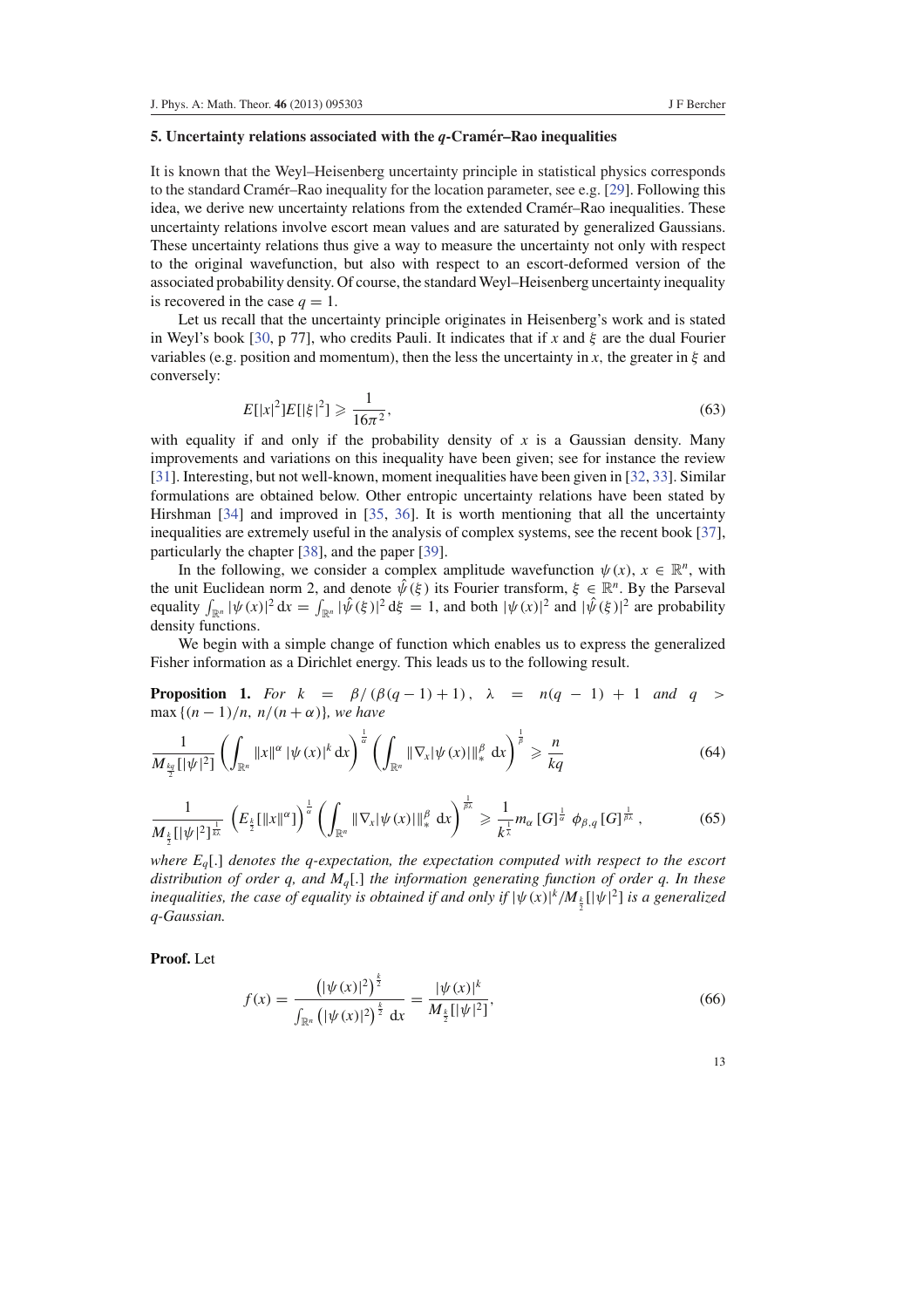#### **5. Uncertainty relations associated with the** *q***-Cramer–Rao inequalities ´**

It is known that the Weyl–Heisenberg uncertainty principle in statistical physics corresponds to the standard Cramer–Rao inequality for the location parameter, see e.g. [ $29$ ]. Following this idea, we derive new uncertainty relations from the extended Cramer–Rao inequalities. These ´ uncertainty relations involve escort mean values and are saturated by generalized Gaussians. These uncertainty relations thus give a way to measure the uncertainty not only with respect to the original wavefunction, but also with respect to an escort-deformed version of the associated probability density. Of course, the standard Weyl–Heisenberg uncertainty inequality is recovered in the case  $q = 1$ .

Let us recall that the uncertainty principle originates in Heisenberg's work and is stated in Weyl's book [30, p 77], who credits Pauli. It indicates that if *x* and  $\xi$  are the dual Fourier variables (e.g. position and momentum), then the less the uncertainty in  $x$ , the greater in  $\xi$  and conversely:

$$
E[|x|^2]E[|\xi|^2] \geqslant \frac{1}{16\pi^2},\tag{63}
$$

with equality if and only if the probability density of  $x$  is a Gaussian density. Many improvements and variations on this inequality have been given; see for instance the review [31]. Interesting, but not well-known, moment inequalities have been given in [32, 33]. Similar formulations are obtained below. Other entropic uncertainty relations have been stated by Hirshman [34] and improved in [35, 36]. It is worth mentioning that all the uncertainty inequalities are extremely useful in the analysis of complex systems, see the recent book [37], particularly the chapter [38], and the paper [39].

In the following, we consider a complex amplitude wavefunction  $\psi(x)$ ,  $x \in \mathbb{R}^n$ , with the unit Euclidean norm 2, and denote  $\hat{\psi}(\xi)$  its Fourier transform,  $\xi \in \mathbb{R}^n$ . By the Parseval equality  $\int_{\mathbb{R}^n} |\psi(x)|^2 dx = \int_{\mathbb{R}^n} |\hat{\psi}(\xi)|^2 d\xi = 1$ , and both  $|\psi(x)|^2$  and  $|\hat{\psi}(\xi)|^2$  are probability density functions.

We begin with a simple change of function which enables us to express the generalized Fisher information as a Dirichlet energy. This leads us to the following result.

**Proposition 1.** *For*  $k = \beta/(\beta(q-1)+1)$ ,  $\lambda = n(q-1)+1$  *and*  $q >$ max {(*n* − 1)/*n*, *n*/(*n* + α)}*, we have*

$$
\frac{1}{M_{\frac{kq}{2}}[|\psi|^2]} \left( \int_{\mathbb{R}^n} \|x\|^{\alpha} |\psi(x)|^k dx \right)^{\frac{1}{\alpha}} \left( \int_{\mathbb{R}^n} \|\nabla_x |\psi(x)|\|_*^\beta dx \right)^{\frac{1}{\beta}} \geq \frac{n}{kq}
$$
(64)

$$
\frac{1}{M_{\frac{k}{2}}[|\psi|^2]^{\frac{1}{k\lambda}}} \left(E_{\frac{k}{2}}[\|x\|^{\alpha}]\right)^{\frac{1}{\alpha}} \left(\int_{\mathbb{R}^n} \|\nabla_x|\psi(x)|\|_{*}^{\beta} dx\right)^{\frac{1}{\beta\lambda}} \geq \frac{1}{k^{\frac{1}{\lambda}}} m_{\alpha} [G]^{\frac{1}{\alpha}} \phi_{\beta,q} [G]^{\frac{1}{\beta\lambda}}, \tag{65}
$$

*where Eq*[.] *denotes the q-expectation, the expectation computed with respect to the escort distribution of order q, and Mq*[.] *the information generating function of order q. In these inequalities, the case of equality is obtained if and only if*  $|\psi(x)|^k / M_{\frac{k}{2}}[|\psi|^2]$  *is a generalized q-Gaussian.*

**Proof.** Let

$$
f(x) = \frac{\left(|\psi(x)|^2\right)^{\frac{k}{2}}}{\int_{\mathbb{R}^n} \left(|\psi(x)|^2\right)^{\frac{k}{2}} dx} = \frac{|\psi(x)|^k}{M_{\frac{k}{2}}[|\psi|^2]},
$$
(66)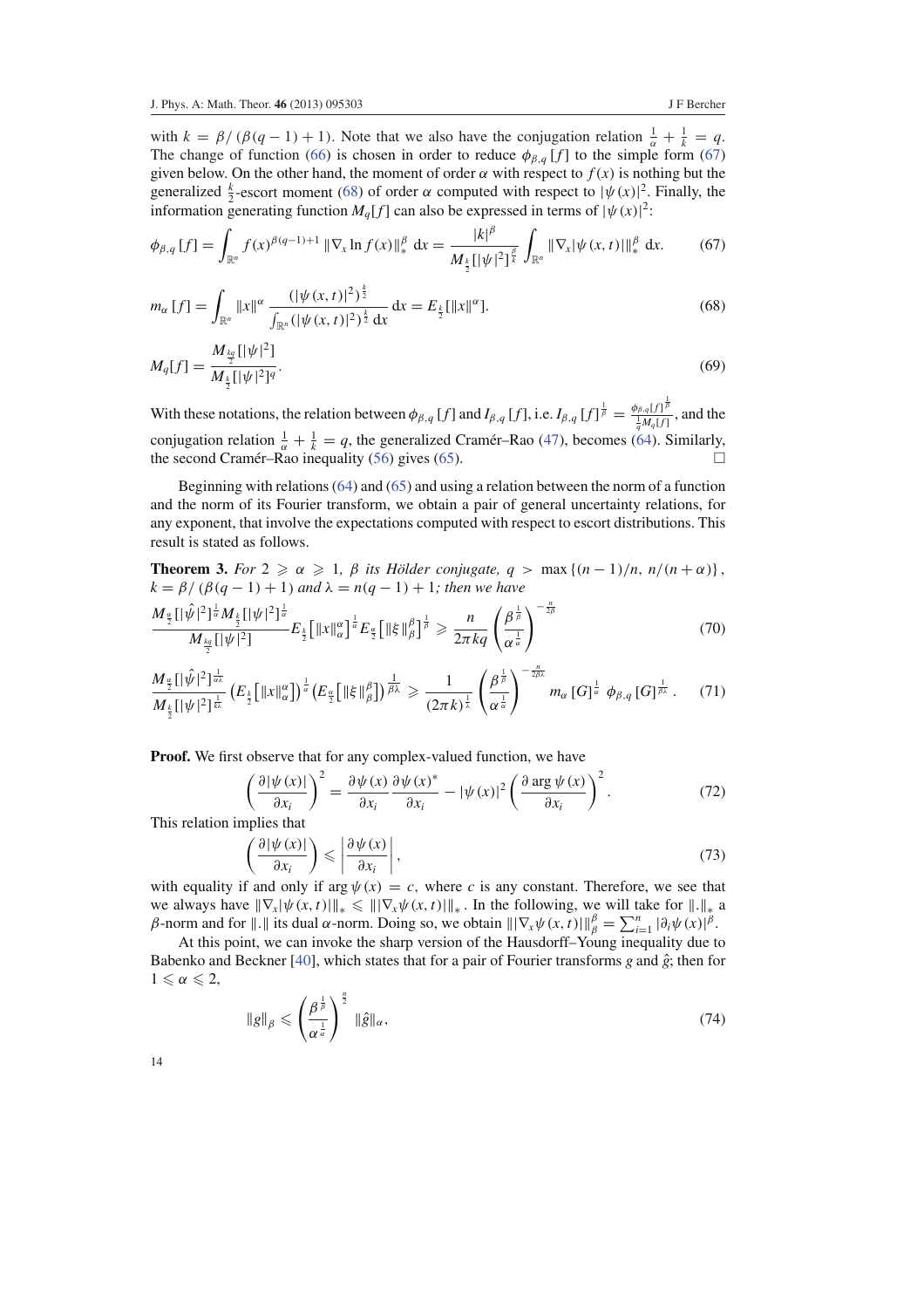with  $k = \beta/(\beta(q-1)+1)$ . Note that we also have the conjugation relation  $\frac{1}{\alpha} + \frac{1}{k} = q$ . The change of function (66) is chosen in order to reduce  $\phi_{\beta,q}[f]$  to the simple form (67) given below. On the other hand, the moment of order  $\alpha$  with respect to  $f(x)$  is nothing but the generalized  $\frac{k}{2}$ -escort moment (68) of order  $\alpha$  computed with respect to  $|\psi(x)|^2$ . Finally, the information generating function  $M_q[f]$  can also be expressed in terms of  $|\psi(x)|^2$ .

$$
\phi_{\beta,q}[f] = \int_{\mathbb{R}^n} f(x)^{\beta(q-1)+1} \|\nabla_x \ln f(x)\|_{*}^{\beta} dx = \frac{|k|^{\beta}}{M_{\frac{k}{2}}[|\psi|^2]^{\frac{\beta}{k}}} \int_{\mathbb{R}^n} \|\nabla_x |\psi(x,t)|\|_{*}^{\beta} dx. \tag{67}
$$

$$
m_{\alpha}[f] = \int_{\mathbb{R}^n} ||x||^{\alpha} \frac{(|\psi(x,t)|^2)^{\frac{k}{2}}}{\int_{\mathbb{R}^n} (|\psi(x,t)|^2)^{\frac{k}{2}} dx} dx = E_{\frac{k}{2}}[\|x\|^{\alpha}]. \tag{68}
$$

$$
M_q[f] = \frac{M_{\frac{kq}{2}}[|\psi|^2]}{M_{\frac{k}{2}}[|\psi|^2]^q}.
$$
\n(69)

With these notations, the relation between  $\phi_{\beta,q}[f]$  and  $I_{\beta,q}[f]$ , i.e.  $I_{\beta,q}[f]^{\frac{1}{\beta}} = \frac{\phi_{\beta,q}[f]^{\frac{1}{\beta}}}{M[f]}$  $\frac{1}{q} M_q[f]$ , and the conjugation relation  $\frac{1}{\alpha} + \frac{1}{k} = q$ , the generalized Cramér–Rao (47), becomes (64). Similarly, the second Cramér–Rao inequality (56) gives (65).  $\Box$ 

Beginning with relations (64) and (65) and using a relation between the norm of a function and the norm of its Fourier transform, we obtain a pair of general uncertainty relations, for any exponent, that involve the expectations computed with respect to escort distributions. This result is stated as follows.

**Theorem 3.** *For*  $2 \ge \alpha \ge 1$ ,  $\beta$  *its Hölder conjugate, q* > max { $(n-1)/n$ ,  $n/(n+\alpha)$ },  $k = β/ (β(q − 1) + 1)$  *and*  $λ = n(q − 1) + 1$ *; then we have* 

$$
\frac{M_{\frac{\alpha}{2}}[|\hat{\psi}|^2]^{\frac{1}{\alpha}}M_{\frac{k}{2}}[|\psi|^2]^{\frac{1}{\alpha}}}{M_{\frac{k_2}{2}}[|\psi|^2]}E_{\frac{k}{2}}\big[\|x\|_{\alpha}^{\alpha}\big]^{\frac{1}{\alpha}}E_{\frac{\alpha}{2}}\big[\|\xi\|_{\beta}^{\beta}\big]^{\frac{1}{\beta}} \geq \frac{n}{2\pi kq} \left(\frac{\beta^{\frac{1}{\beta}}}{\alpha^{\frac{1}{\alpha}}}\right)^{-\frac{n}{2\beta}}
$$
(70)

$$
\frac{M_{\frac{\alpha}{2}}[|\hat{\psi}|^2]^{\frac{1}{\alpha\lambda}}}{M_{\frac{k}{2}}[|\psi|^2]^{\frac{1}{k\lambda}}}\left(E_{\frac{k}{2}}\big[\|x\|_{\alpha}^{\alpha}\big]\right)^{\frac{1}{\alpha}}\left(E_{\frac{\alpha}{2}}\big[\|\xi\|_{\beta}^{\beta}\big]\right)^{\frac{1}{\beta\lambda}}\geq\frac{1}{(2\pi k)^{\frac{1}{\lambda}}}\left(\frac{\beta^{\frac{1}{\beta}}}{\alpha^{\frac{1}{\alpha}}}\right)^{-\frac{n}{2\beta\lambda}}m_{\alpha}[G]^{\frac{1}{\alpha}}\phi_{\beta,q}[G]^{\frac{1}{\beta\lambda}}.\tag{71}
$$

Proof. We first observe that for any complex-valued function, we have

$$
\left(\frac{\partial |\psi(x)|}{\partial x_i}\right)^2 = \frac{\partial \psi(x)}{\partial x_i} \frac{\partial \psi(x)^*}{\partial x_i} - |\psi(x)|^2 \left(\frac{\partial \arg \psi(x)}{\partial x_i}\right)^2.
$$
\n(72)

This relation implies that

$$
\left(\frac{\partial |\psi(x)|}{\partial x_i}\right) \leqslant \left|\frac{\partial \psi(x)}{\partial x_i}\right|,\tag{73}
$$

with equality if and only if arg  $\psi(x) = c$ , where *c* is any constant. Therefore, we see that we always have  $\|\nabla_x|\psi(x,t)\|_* \leq \|\nabla_x\psi(x,t)\|_*$ . In the following, we will take for  $\|.\|_*$  a β-norm and for  $||.||$  its dual α-norm. Doing so, we obtain  $||\nabla_x \psi(x, t)||_β^β = \sum_{i=1}^n |\partial_i \psi(x)|^β$ .

At this point, we can invoke the sharp version of the Hausdorff–Young inequality due to Babenko and Beckner [40], which states that for a pair of Fourier transforms  $g$  and  $\hat{g}$ ; then for  $1 \leqslant \alpha \leqslant 2$ ,

$$
\|g\|_{\beta} \leqslant \left(\frac{\beta^{\frac{1}{\beta}}}{\alpha^{\frac{1}{\alpha}}}\right)^{\frac{n}{2}} \|\hat{g}\|_{\alpha},\tag{74}
$$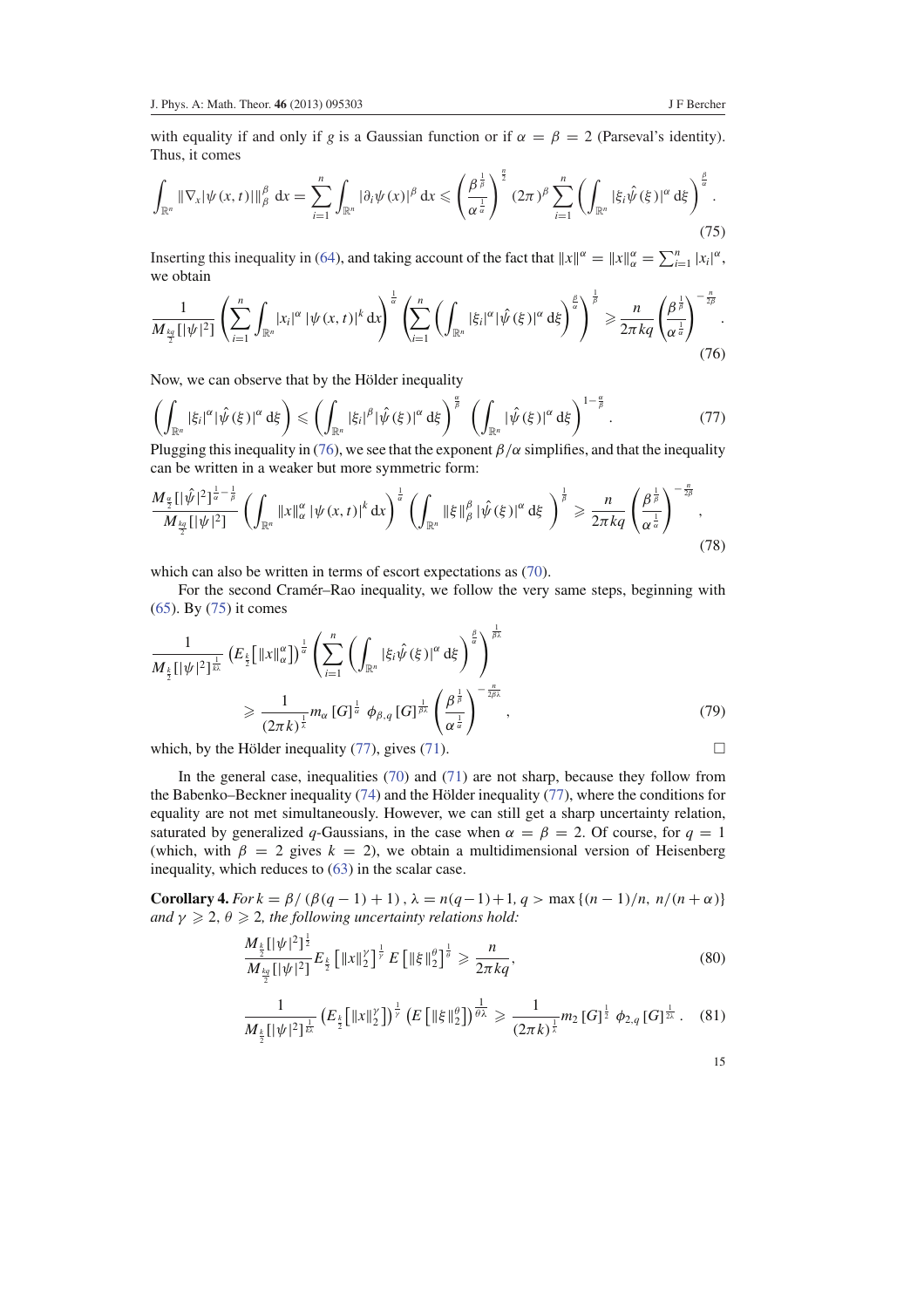with equality if and only if *g* is a Gaussian function or if  $\alpha = \beta = 2$  (Parseval's identity). Thus, it comes

$$
\int_{\mathbb{R}^n} \|\nabla_x |\psi(x,t)| \|^{\beta}_{\beta} dx = \sum_{i=1}^n \int_{\mathbb{R}^n} |\partial_i \psi(x)|^{\beta} dx \leqslant \left(\frac{\beta^{\frac{1}{\beta}}}{\alpha^{\frac{1}{\alpha}}}\right)^{\frac{n}{2}} (2\pi)^{\beta} \sum_{i=1}^n \left(\int_{\mathbb{R}^n} |\xi_i \hat{\psi}(\xi)|^{\alpha} d\xi\right)^{\frac{\beta}{\alpha}}.
$$
\n(75)

Inserting this inequality in (64), and taking account of the fact that  $||x||^{\alpha} = ||x||_{\alpha}^{\alpha} = \sum_{i=1}^{n} |x_i|^{\alpha}$ , we obtain

$$
\frac{1}{M_{\frac{kq}{2}}[|\psi|^2]} \left(\sum_{i=1}^n \int_{\mathbb{R}^n} |x_i|^\alpha |\psi(x,t)|^k dx\right)^{\frac{1}{\alpha}} \left(\sum_{i=1}^n \left(\int_{\mathbb{R}^n} |\xi_i|^\alpha |\hat{\psi}(\xi)|^\alpha d\xi\right)^{\frac{\beta}{\alpha}}\right)^{\frac{1}{\beta}} \geq \frac{n}{2\pi kq} \left(\frac{\beta^{\frac{1}{\beta}}}{\alpha^{\frac{1}{\alpha}}}\right)^{-\frac{n}{2\beta}}.
$$
\n(76)

Now, we can observe that by the Hölder inequality

$$
\left(\int_{\mathbb{R}^n} |\xi_i|^\alpha |\hat{\psi}(\xi)|^\alpha d\xi\right) \le \left(\int_{\mathbb{R}^n} |\xi_i|^\beta |\hat{\psi}(\xi)|^\alpha d\xi\right)^\frac{\alpha}{\beta} \left(\int_{\mathbb{R}^n} |\hat{\psi}(\xi)|^\alpha d\xi\right)^{1-\frac{\alpha}{\beta}}.\tag{77}
$$
\nPlugging this inequality in (76), we see that the exponent *8* (*α* simplifies, and that the inequality is

Plugging this inequality in (76), we see that the exponent  $\beta/\alpha$  simplifies, and that the inequality can be written in a weaker but more symmetric form:

$$
\frac{M_{\frac{\alpha}{2}}[|\hat{\psi}|^2]^{\frac{1}{\alpha}-\frac{1}{\beta}}}{M_{\frac{k}{2}}[|\psi|^2]} \left(\int_{\mathbb{R}^n} \|x\|_{\alpha}^{\alpha} |\psi(x,t)|^k dx\right)^{\frac{1}{\alpha}} \left(\int_{\mathbb{R}^n} \|\xi\|_{\beta}^{\beta} |\hat{\psi}(\xi)|^{\alpha} d\xi\right)^{\frac{1}{\beta}} \geq \frac{n}{2\pi kq} \left(\frac{\beta^{\frac{1}{\beta}}}{\alpha^{\frac{1}{\alpha}}}\right)^{-\frac{n}{2\beta}},\tag{78}
$$

which can also be written in terms of escort expectations as  $(70)$ .

For the second Cramer–Rao inequality, we follow the very same steps, beginning with (65). By (75) it comes

$$
\frac{1}{M_{\frac{k}{2}}[|\psi|^2]^{\frac{1}{k\lambda}}} \left(E_{\frac{k}{2}}\left[\|x\|_{\alpha}^{\alpha}\right]\right)^{\frac{1}{\alpha}} \left(\sum_{i=1}^n \left(\int_{\mathbb{R}^n} |\xi_i \hat{\psi}(\xi)|^{\alpha} d\xi\right)^{\frac{\beta}{\alpha}}\right)^{\frac{1}{\beta\lambda}}\n\n\geq \frac{1}{(2\pi k)^{\frac{1}{\lambda}}} m_{\alpha} [G]^{\frac{1}{\alpha}} \varphi_{\beta,q} [G]^{\frac{1}{\beta\lambda}} \left(\frac{\beta^{\frac{1}{\beta}}}{\alpha^{\frac{1}{\alpha}}}\right)^{-\frac{n}{2\beta\lambda}},
$$
\n(79)

which, by the Hölder inequality (77), gives (71).  $\Box$ 

In the general case, inequalities  $(70)$  and  $(71)$  are not sharp, because they follow from the Babenko–Beckner inequality  $(74)$  and the Hölder inequality  $(77)$ , where the conditions for equality are not met simultaneously. However, we can still get a sharp uncertainty relation, saturated by generalized q-Gaussians, in the case when  $\alpha = \beta = 2$ . Of course, for  $q = 1$ (which, with  $\beta = 2$  gives  $k = 2$ ), we obtain a multidimensional version of Heisenberg inequality, which reduces to (63) in the scalar case.

**Corollary 4.** *For k* =  $\beta$ / ( $\beta$ ( $q$  − 1) + 1),  $\lambda$  =  $n(q-1)$  + 1,  $q$  > max {( $n-1$ )/ $n$ ,  $n/(n+\alpha)$ } *and*  $\gamma \geq 2$ ,  $\theta \geq 2$ , the following uncertainty relations hold:

$$
\frac{M_{\frac{k}{2}}[|\psi|^2]^{\frac{1}{2}}}{M_{\frac{kq}{2}}[|\psi|^2]}E_{\frac{k}{2}}\left[\|x\|_{2}^{\gamma}\right]^{\frac{1}{\gamma}}E\left[\|\xi\|_{2}^{\theta}\right]^{\frac{1}{\theta}}\geqslant \frac{n}{2\pi kq},\tag{80}
$$

$$
\frac{1}{M_{\frac{k}{2}}[|\psi|^2]^{\frac{1}{k}}}\left(E_{\frac{k}{2}}\big[\|x\|_2^{\gamma}\big]\right)^{\frac{1}{\gamma}}\left(E\big[\|\xi\|_2^{\theta}\big]\right)^{\frac{1}{\theta\lambda}}\geqslant \frac{1}{(2\pi k)^{\frac{1}{\lambda}}}m_2\left[G\right]^{\frac{1}{2}}\phi_{2,q}\left[G\right]^{\frac{1}{2\lambda}}.\tag{81}
$$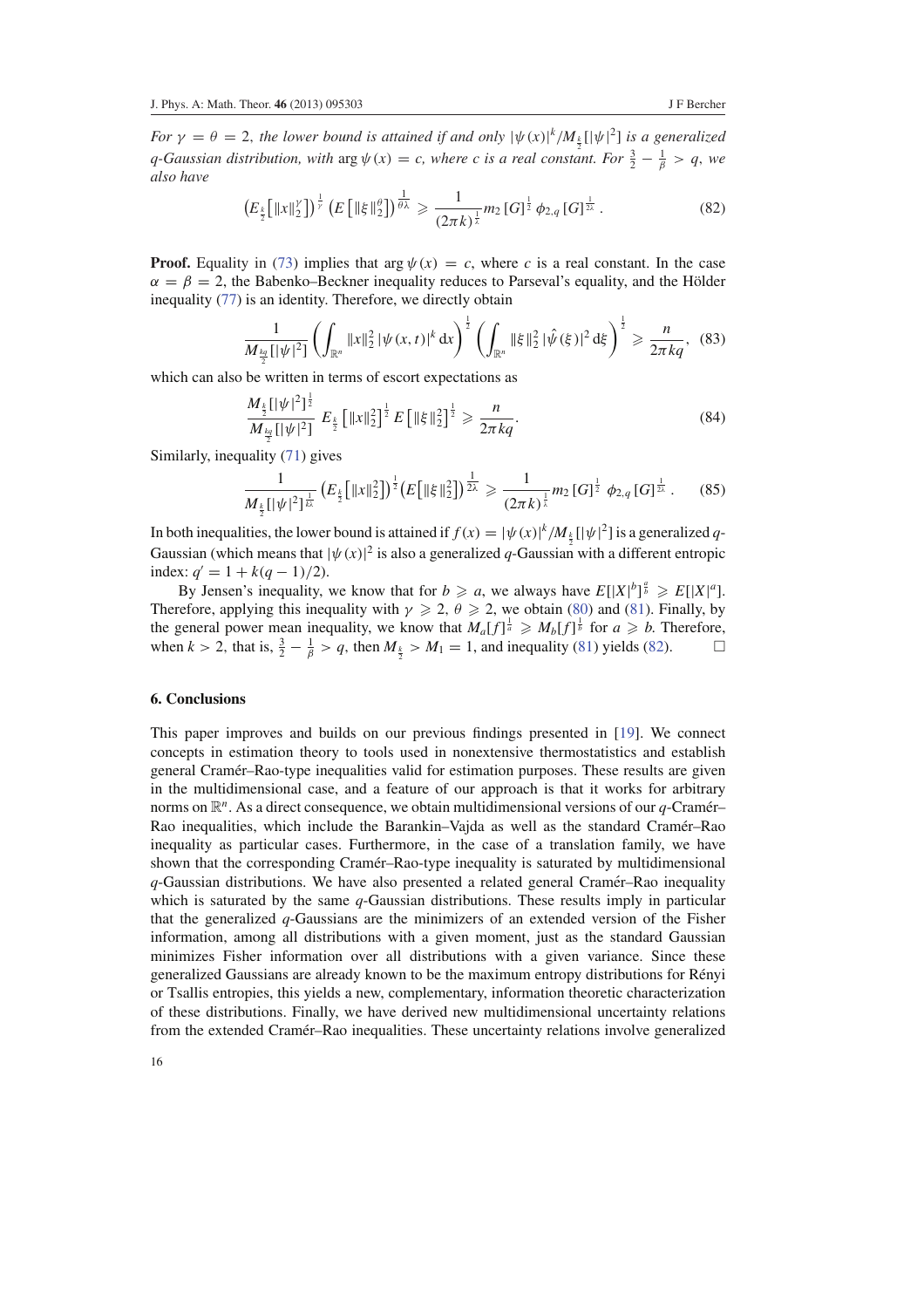*For*  $\gamma = \theta = 2$ , the lower bound is attained if and only  $|\psi(x)|^k / M_k[|\psi|^2]$  is a generalized *q*-Gaussian distribution, with  $\arg \psi(x) = c$ , where c is a real constant. For  $\frac{3}{2} - \frac{1}{\beta} > q$ , we *also have*

$$
\left(E_{\frac{k}{2}}\left[\|x\|_{2}^{\gamma}\right]\right)^{\frac{1}{\gamma}}\left(E\left[\|\xi\|_{2}^{\theta}\right]\right)^{\frac{1}{\theta\lambda}}\geqslant\frac{1}{(2\pi k)^{\frac{1}{\lambda}}}m_{2}\left[G\right]^{\frac{1}{2}}\phi_{2,q}\left[G\right]^{\frac{1}{2\lambda}}.
$$
\n(82)

**Proof.** Equality in (73) implies that arg  $\psi(x) = c$ , where *c* is a real constant. In the case  $\alpha = \beta = 2$ , the Babenko–Beckner inequality reduces to Parseval's equality, and the Hölder inequality (77) is an identity. Therefore, we directly obtain

$$
\frac{1}{M_{\frac{kq}{2}}[|\psi|^2]} \left( \int_{\mathbb{R}^n} \|x\|_2^2 |\psi(x,t)|^k dx \right)^{\frac{1}{2}} \left( \int_{\mathbb{R}^n} \|\xi\|_2^2 |\hat{\psi}(\xi)|^2 d\xi \right)^{\frac{1}{2}} \geq \frac{n}{2\pi kq}, \quad (83)
$$

which can also be written in terms of escort expectations as

$$
\frac{M_{\frac{k}{2}}[|\psi|^2]^{\frac{1}{2}}}{M_{\frac{kq}{2}}[|\psi|^2]} E_{\frac{k}{2}} \left[ \|x\|_2^2 \right]^{\frac{1}{2}} E\left[ \|\xi\|_2^2 \right]^{\frac{1}{2}} \geqslant \frac{n}{2\pi kq}.
$$
\n(84)

Similarly, inequality (71) gives

$$
\frac{1}{M_{\frac{k}{2}}[|\psi|^2]^{\frac{1}{k\lambda}}}\left(E_{\frac{k}{2}}\big[\|x\|_2^2\big]\right)^{\frac{1}{2}}\left(E\big[\|\xi\|_2^2\big]\right)^{\frac{1}{2\lambda}}\geqslant \frac{1}{(2\pi k)^{\frac{1}{\lambda}}}m_2\left[G\right]^{\frac{1}{2}}\phi_{2,q}\left[G\right]^{\frac{1}{2\lambda}}.\tag{85}
$$

In both inequalities, the lower bound is attained if  $f(x) = |\psi(x)|^k / M_{\frac{k}{2}} [|\psi|^2]$  is a generalized q-Gaussian (which means that  $|\psi(x)|^2$  is also a generalized *q*-Gaussian with a different entropic index:  $q' = 1 + k(q - 1)/2$ .

By Jensen's inequality, we know that for  $b \ge a$ , we always have  $E[|X|^b]^{\frac{a}{b}} \ge E[|X|^a]$ . Therefore, applying this inequality with  $\gamma \geq 2$ ,  $\theta \geq 2$ , we obtain (80) and (81). Finally, by the general power mean inequality, we know that  $M_a[f]^{\frac{1}{a}} \geq M_b[f]^{\frac{1}{b}}$  for  $a \geq b$ . Therefore, when  $k > 2$ , that is,  $\frac{3}{2} - \frac{1}{\beta} > q$ , then  $M_{\frac{k}{2}} > M_1 = 1$ , and inequality (81) yields (82).

#### **6. Conclusions**

This paper improves and builds on our previous findings presented in [19]. We connect concepts in estimation theory to tools used in nonextensive thermostatistics and establish general Cramér–Rao-type inequalities valid for estimation purposes. These results are given in the multidimensional case, and a feature of our approach is that it works for arbitrary norms on  $\mathbb{R}^n$ . As a direct consequence, we obtain multidimensional versions of our *q*-Cramér– Rao inequalities, which include the Barankin–Vajda as well as the standard Cramer–Rao ´ inequality as particular cases. Furthermore, in the case of a translation family, we have shown that the corresponding Cramer–Rao-type inequality is saturated by multidimensional ´ *q*-Gaussian distributions. We have also presented a related general Cramer–Rao inequality ´ which is saturated by the same *q*-Gaussian distributions. These results imply in particular that the generalized *q*-Gaussians are the minimizers of an extended version of the Fisher information, among all distributions with a given moment, just as the standard Gaussian minimizes Fisher information over all distributions with a given variance. Since these generalized Gaussians are already known to be the maximum entropy distributions for Renyi ´ or Tsallis entropies, this yields a new, complementary, information theoretic characterization of these distributions. Finally, we have derived new multidimensional uncertainty relations from the extended Cramér–Rao inequalities. These uncertainty relations involve generalized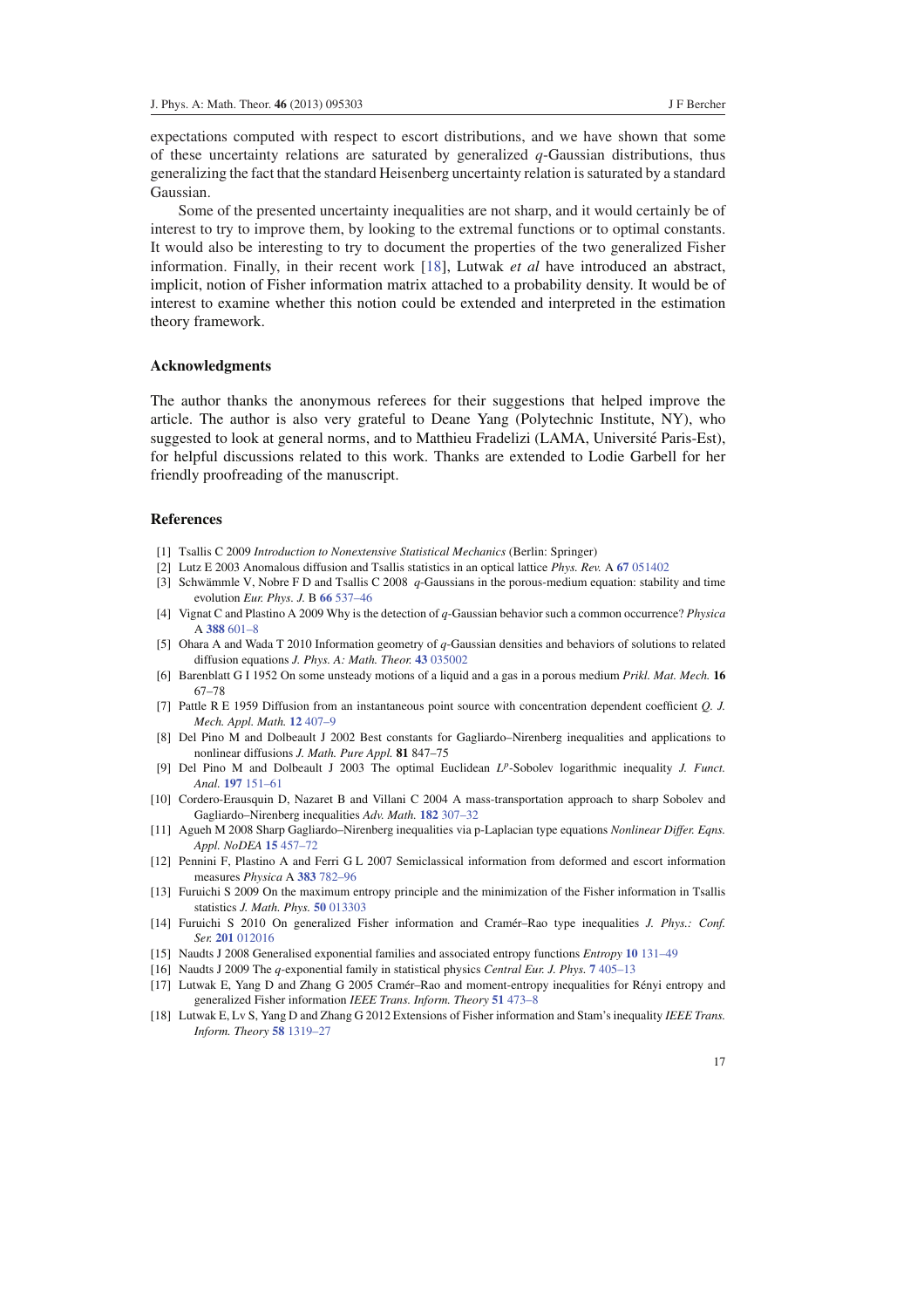expectations computed with respect to escort distributions, and we have shown that some of these uncertainty relations are saturated by generalized  $q$ -Gaussian distributions, thus generalizing the fact that the standard Heisenberg uncertainty relation is saturated by a standard Gaussian.

Some of the presented uncertainty inequalities are not sharp, and it would certainly be of interest to try to improve them, by looking to the extremal functions or to optimal constants. It would also be interesting to try to document the properties of the two generalized Fisher information. Finally, in their recent work [18], Lutwak *et al* have introduced an abstract, implicit, notion of Fisher information matrix attached to a probability density. It would be of interest to examine whether this notion could be extended and interpreted in the estimation theory framework.

# **Acknowledgments**

The author thanks the anonymous referees for their suggestions that helped improve the article. The author is also very grateful to Deane Yang (Polytechnic Institute, NY), who suggested to look at general norms, and to Matthieu Fradelizi (LAMA, Université Paris-Est), for helpful discussions related to this work. Thanks are extended to Lodie Garbell for her friendly proofreading of the manuscript.

# **References**

- [1] Tsallis C 2009 *Introduction to Nonextensive Statistical Mechanics* (Berlin: Springer)
- [2] Lutz E 2003 Anomalous diffusion and Tsallis statistics in an optical lattice *Phys. Rev.* A **67** 051402
- [3] Schwämmle V, Nobre F D and Tsallis C 2008 q-Gaussians in the porous-medium equation: stability and time evolution *Eur. Phys. J.* B **66** 537–46
- [4] Vignat C and Plastino A 2009 Why is the detection of *q*-Gaussian behavior such a common occurrence? *Physica* A **388** 601–8
- [5] Ohara A and Wada T 2010 Information geometry of *q*-Gaussian densities and behaviors of solutions to related diffusion equations *J. Phys. A: Math. Theor.* **43** 035002
- [6] Barenblatt G I 1952 On some unsteady motions of a liquid and a gas in a porous medium *Prikl. Mat. Mech.* **16** 67–78
- [7] Pattle R E 1959 Diffusion from an instantaneous point source with concentration dependent coefficient *Q. J. Mech. Appl. Math.* **12** 407–9
- [8] Del Pino M and Dolbeault J 2002 Best constants for Gagliardo–Nirenberg inequalities and applications to nonlinear diffusions *J. Math. Pure Appl.* **81** 847–75
- [9] Del Pino M and Dolbeault J 2003 The optimal Euclidean *L p* -Sobolev logarithmic inequality *J. Funct. Anal.* **197** 151–61
- [10] Cordero-Erausquin D, Nazaret B and Villani C 2004 A mass-transportation approach to sharp Sobolev and Gagliardo–Nirenberg inequalities *Adv. Math.* **182** 307–32
- [11] Agueh M 2008 Sharp Gagliardo–Nirenberg inequalities via p-Laplacian type equations *Nonlinear Differ. Eqns. Appl. NoDEA* **15** 457–72
- [12] Pennini F, Plastino A and Ferri G L 2007 Semiclassical information from deformed and escort information measures *Physica* A **383** 782–96
- [13] Furuichi S 2009 On the maximum entropy principle and the minimization of the Fisher information in Tsallis statistics *J. Math. Phys.* **50** 013303
- [14] Furuichi S 2010 On generalized Fisher information and Cramér–Rao type inequalities *J. Phys.: Conf. Ser.* **201** 012016
- [15] Naudts J 2008 Generalised exponential families and associated entropy functions *Entropy* **10** 131–49
- [16] Naudts J 2009 The *q*-exponential family in statistical physics *Central Eur. J. Phys.* **7** 405–13
- [17] Lutwak E, Yang D and Zhang G 2005 Cramér–Rao and moment-entropy inequalities for Rényi entropy and generalized Fisher information *IEEE Trans. Inform. Theory* **51** 473–8
- [18] Lutwak E, Lv S, Yang D and Zhang G 2012 Extensions of Fisher information and Stam's inequality *IEEE Trans. Inform. Theory* **58** 1319–27